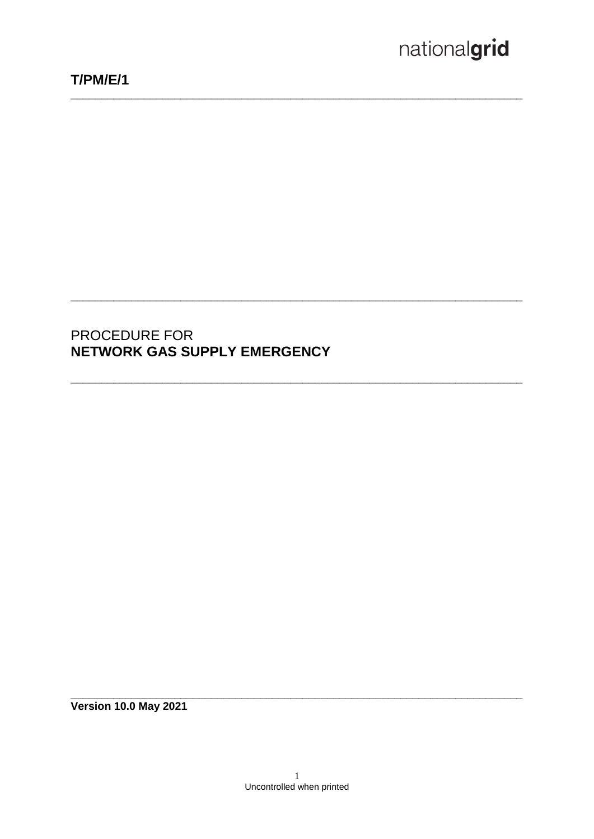# PROCEDURE FOR NETWORK GAS SUPPLY EMERGENCY

**Version 10.0 May 2021**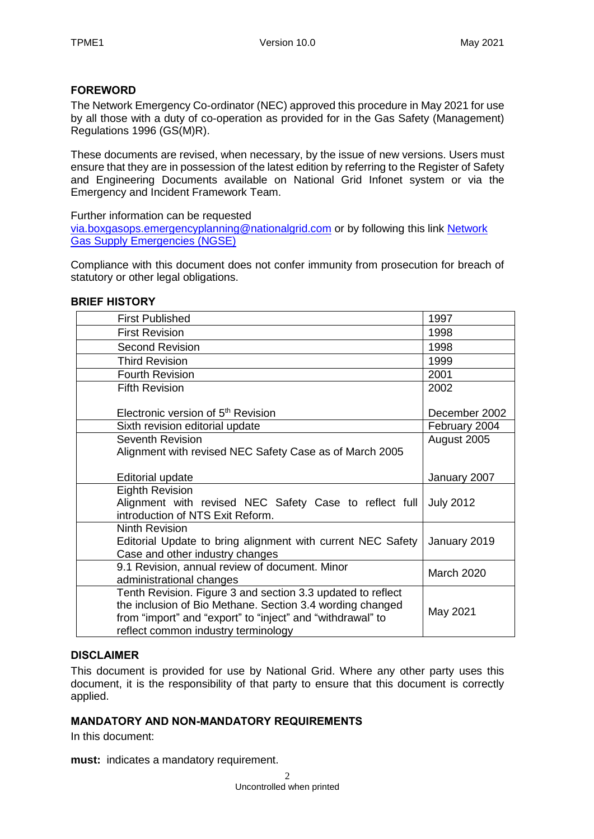#### **FOREWORD**

The Network Emergency Co-ordinator (NEC) approved this procedure in May 2021 for use by all those with a duty of co-operation as provided for in the Gas Safety (Management) Regulations 1996 (GS(M)R).

These documents are revised, when necessary, by the issue of new versions. Users must ensure that they are in possession of the latest edition by referring to the Register of Safety and Engineering Documents available on National Grid Infonet system or via the Emergency and Incident Framework Team.

Further information can be requested

[via.boxgasops.emergencyplanning@nationalgrid.com](mailto:via.boxgasops.emergencyplanning@nationalgrid.com) or by following this link [Network](https://www.nationalgrid.com/uk/gas-transmission/safety-and-emergencies/network-gas-supply-emergencies-ngse)  [Gas Supply Emergencies \(NGSE\)](https://www.nationalgrid.com/uk/gas-transmission/safety-and-emergencies/network-gas-supply-emergencies-ngse)

Compliance with this document does not confer immunity from prosecution for breach of statutory or other legal obligations.

#### **BRIEF HISTORY**

| <b>First Published</b>                                                                                                                                                                                                        | 1997                             |
|-------------------------------------------------------------------------------------------------------------------------------------------------------------------------------------------------------------------------------|----------------------------------|
| <b>First Revision</b>                                                                                                                                                                                                         | 1998                             |
| <b>Second Revision</b>                                                                                                                                                                                                        | 1998                             |
| <b>Third Revision</b>                                                                                                                                                                                                         | 1999                             |
| <b>Fourth Revision</b>                                                                                                                                                                                                        | 2001                             |
| <b>Fifth Revision</b>                                                                                                                                                                                                         | 2002                             |
| Electronic version of 5 <sup>th</sup> Revision<br>Sixth revision editorial update                                                                                                                                             | December 2002<br>February 2004   |
| Seventh Revision                                                                                                                                                                                                              | August 2005                      |
| Alignment with revised NEC Safety Case as of March 2005                                                                                                                                                                       |                                  |
| <b>Editorial update</b><br><b>Eighth Revision</b><br>Alignment with revised NEC Safety Case to reflect full                                                                                                                   | January 2007<br><b>July 2012</b> |
| introduction of NTS Exit Reform.                                                                                                                                                                                              |                                  |
| <b>Ninth Revision</b><br>Editorial Update to bring alignment with current NEC Safety<br>Case and other industry changes                                                                                                       | January 2019                     |
| 9.1 Revision, annual review of document. Minor<br>administrational changes                                                                                                                                                    | <b>March 2020</b>                |
| Tenth Revision. Figure 3 and section 3.3 updated to reflect<br>the inclusion of Bio Methane. Section 3.4 wording changed<br>from "import" and "export" to "inject" and "withdrawal" to<br>reflect common industry terminology | May 2021                         |

#### **DISCLAIMER**

This document is provided for use by National Grid. Where any other party uses this document, it is the responsibility of that party to ensure that this document is correctly applied.

#### **MANDATORY AND NON-MANDATORY REQUIREMENTS**

In this document:

**must:** indicates a mandatory requirement.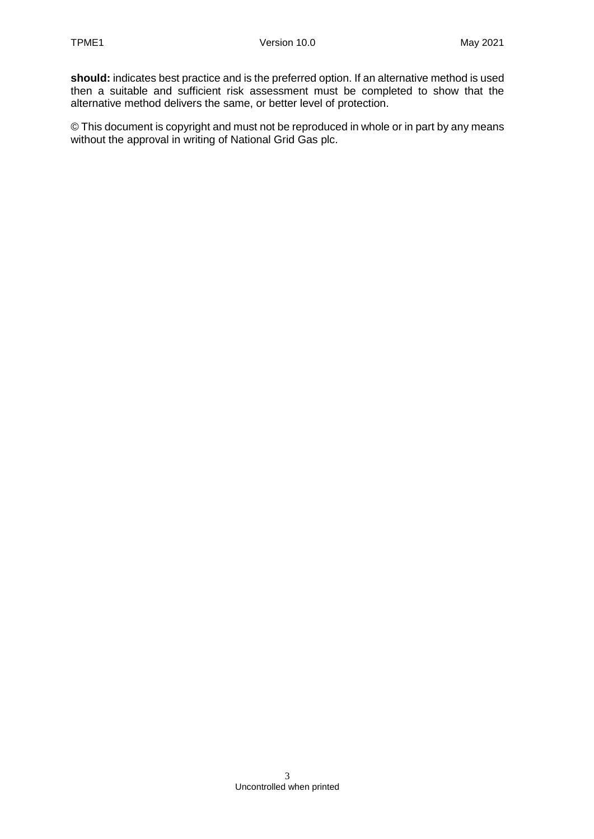**should:** indicates best practice and is the preferred option. If an alternative method is used then a suitable and sufficient risk assessment must be completed to show that the alternative method delivers the same, or better level of protection.

© This document is copyright and must not be reproduced in whole or in part by any means without the approval in writing of National Grid Gas plc.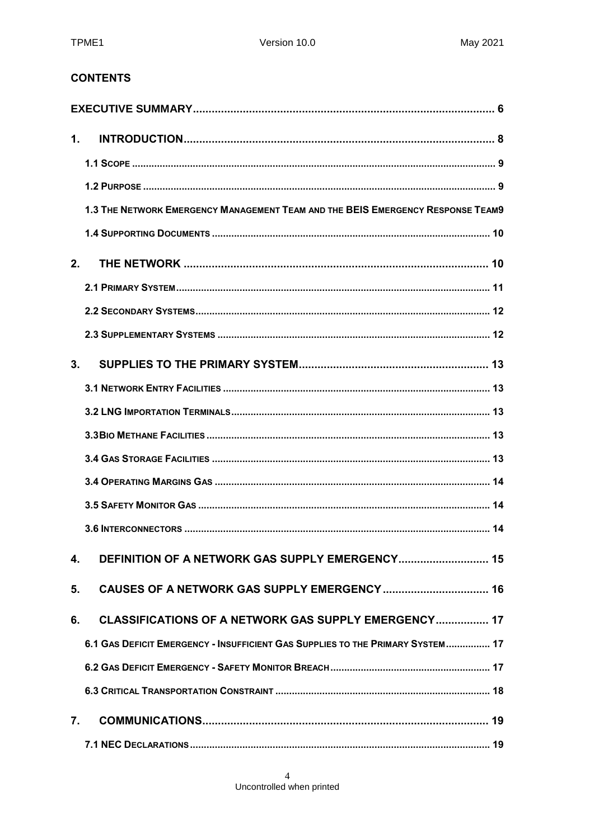### **CONTENTS**

| $\mathbf 1$    |                                                                                 |  |
|----------------|---------------------------------------------------------------------------------|--|
|                |                                                                                 |  |
|                |                                                                                 |  |
|                | 1.3 THE NETWORK EMERGENCY MANAGEMENT TEAM AND THE BEIS EMERGENCY RESPONSE TEAM9 |  |
|                |                                                                                 |  |
| 2.             |                                                                                 |  |
|                |                                                                                 |  |
|                |                                                                                 |  |
|                |                                                                                 |  |
| 3 <sub>1</sub> |                                                                                 |  |
|                |                                                                                 |  |
|                |                                                                                 |  |
|                |                                                                                 |  |
|                |                                                                                 |  |
|                |                                                                                 |  |
|                |                                                                                 |  |
|                |                                                                                 |  |
| 4.             | DEFINITION OF A NETWORK GAS SUPPLY EMERGENCY 15                                 |  |
| 5.             |                                                                                 |  |
| 6.             | CLASSIFICATIONS OF A NETWORK GAS SUPPLY EMERGENCY 17                            |  |
|                | 6.1 GAS DEFICIT EMERGENCY - INSUFFICIENT GAS SUPPLIES TO THE PRIMARY SYSTEM 17  |  |
|                |                                                                                 |  |
|                |                                                                                 |  |
| 7.             |                                                                                 |  |
|                |                                                                                 |  |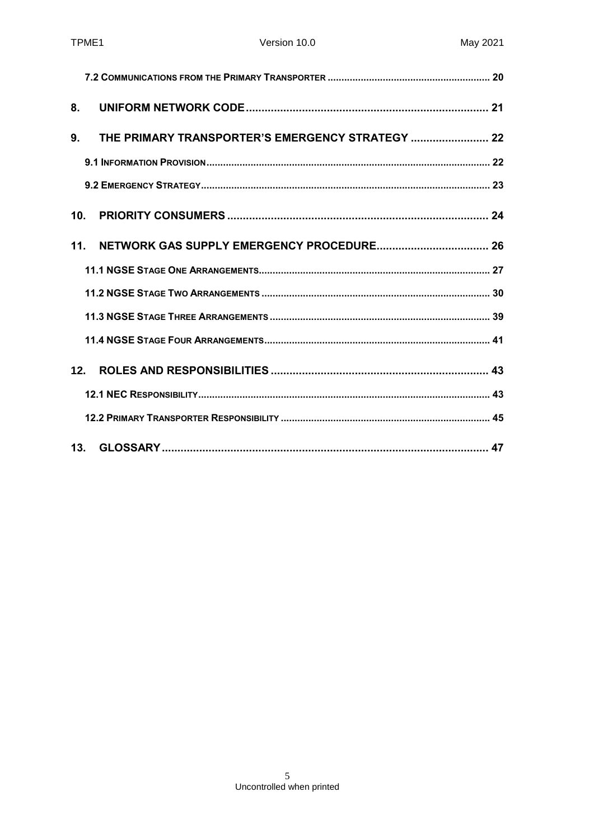| 8.              |                                                  |  |
|-----------------|--------------------------------------------------|--|
| 9.              | THE PRIMARY TRANSPORTER'S EMERGENCY STRATEGY  22 |  |
|                 |                                                  |  |
|                 |                                                  |  |
| 10 <sub>1</sub> |                                                  |  |
| 11.             |                                                  |  |
|                 |                                                  |  |
|                 |                                                  |  |
|                 |                                                  |  |
|                 |                                                  |  |
| 12.             |                                                  |  |
|                 |                                                  |  |
|                 |                                                  |  |
|                 |                                                  |  |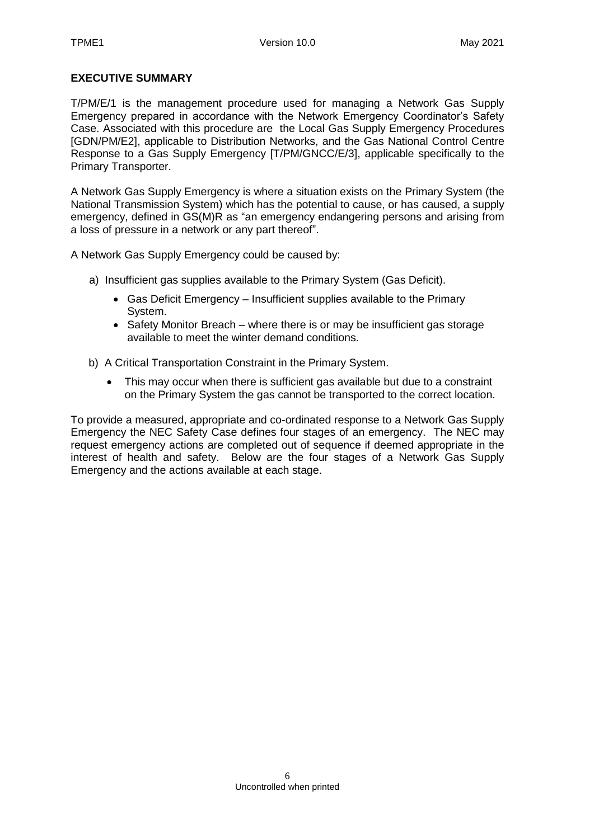#### <span id="page-5-0"></span>**EXECUTIVE SUMMARY**

T/PM/E/1 is the management procedure used for managing a Network Gas Supply Emergency prepared in accordance with the Network Emergency Coordinator's Safety Case. Associated with this procedure are the Local Gas Supply Emergency Procedures [GDN/PM/E2], applicable to Distribution Networks, and the Gas National Control Centre Response to a Gas Supply Emergency [T/PM/GNCC/E/3], applicable specifically to the Primary Transporter.

A Network Gas Supply Emergency is where a situation exists on the Primary System (the National Transmission System) which has the potential to cause, or has caused, a supply emergency, defined in GS(M)R as "an emergency endangering persons and arising from a loss of pressure in a network or any part thereof".

A Network Gas Supply Emergency could be caused by:

- a) Insufficient gas supplies available to the Primary System (Gas Deficit).
	- Gas Deficit Emergency Insufficient supplies available to the Primary System.
	- Safety Monitor Breach where there is or may be insufficient gas storage available to meet the winter demand conditions.
- b) A Critical Transportation Constraint in the Primary System.
	- This may occur when there is sufficient gas available but due to a constraint on the Primary System the gas cannot be transported to the correct location.

To provide a measured, appropriate and co-ordinated response to a Network Gas Supply Emergency the NEC Safety Case defines four stages of an emergency. The NEC may request emergency actions are completed out of sequence if deemed appropriate in the interest of health and safety. Below are the four stages of a Network Gas Supply Emergency and the actions available at each stage.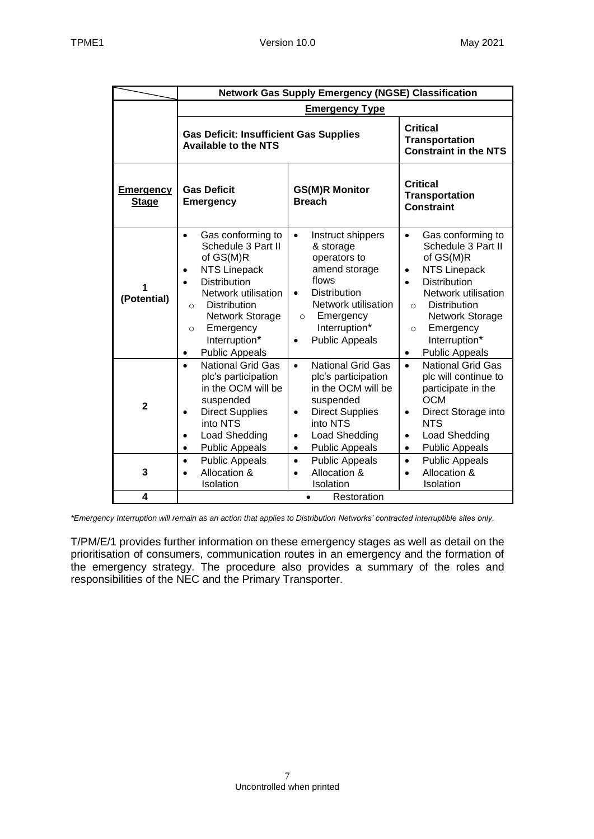|                                  | <b>Network Gas Supply Emergency (NGSE) Classification</b>                                                                                                                                                                                                     |                                                                                                                                                                                                                    |                                                                                                                                                                                                                                                                                                      |  |
|----------------------------------|---------------------------------------------------------------------------------------------------------------------------------------------------------------------------------------------------------------------------------------------------------------|--------------------------------------------------------------------------------------------------------------------------------------------------------------------------------------------------------------------|------------------------------------------------------------------------------------------------------------------------------------------------------------------------------------------------------------------------------------------------------------------------------------------------------|--|
|                                  | <b>Emergency Type</b>                                                                                                                                                                                                                                         |                                                                                                                                                                                                                    |                                                                                                                                                                                                                                                                                                      |  |
|                                  | <b>Gas Deficit: Insufficient Gas Supplies</b><br><b>Available to the NTS</b>                                                                                                                                                                                  |                                                                                                                                                                                                                    | <b>Critical</b><br><b>Transportation</b><br><b>Constraint in the NTS</b>                                                                                                                                                                                                                             |  |
| <b>Emergency</b><br><b>Stage</b> | <b>Gas Deficit</b><br><b>Emergency</b>                                                                                                                                                                                                                        | <b>GS(M)R Monitor</b><br><b>Breach</b>                                                                                                                                                                             | Critical<br><b>Transportation</b><br><b>Constraint</b>                                                                                                                                                                                                                                               |  |
| (Potential)                      | Gas conforming to<br>$\bullet$<br>Schedule 3 Part II<br>of GS(M)R<br><b>NTS Linepack</b><br><b>Distribution</b><br>Network utilisation<br><b>Distribution</b><br>$\circ$<br>Network Storage<br>Emergency<br>$\circ$<br>Interruption*<br><b>Public Appeals</b> | Instruct shippers<br>$\bullet$<br>& storage<br>operators to<br>amend storage<br>flows<br><b>Distribution</b><br>$\bullet$<br>Network utilisation<br>Emergency<br>$\circ$<br>Interruption*<br><b>Public Appeals</b> | Gas conforming to<br>$\bullet$<br>Schedule 3 Part II<br>of GS(M)R<br><b>NTS Linepack</b><br>$\bullet$<br><b>Distribution</b><br>$\bullet$<br>Network utilisation<br><b>Distribution</b><br>$\circ$<br>Network Storage<br>Emergency<br>$\circ$<br>Interruption*<br><b>Public Appeals</b><br>$\bullet$ |  |
| $\mathbf{2}$                     | <b>National Grid Gas</b><br>plc's participation<br>in the OCM will be<br>suspended<br><b>Direct Supplies</b><br>into NTS<br>Load Shedding<br><b>Public Appeals</b>                                                                                            | <b>National Grid Gas</b><br>$\bullet$<br>plc's participation<br>in the OCM will be<br>suspended<br><b>Direct Supplies</b><br>$\bullet$<br>into NTS<br>Load Shedding<br>$\bullet$<br><b>Public Appeals</b>          | <b>National Grid Gas</b><br>$\bullet$<br>plc will continue to<br>participate in the<br><b>OCM</b><br>Direct Storage into<br>$\bullet$<br><b>NTS</b><br>Load Shedding<br>$\bullet$<br><b>Public Appeals</b><br>$\bullet$                                                                              |  |
| 3<br>4                           | <b>Public Appeals</b><br>$\bullet$<br>Allocation &<br>Isolation                                                                                                                                                                                               | <b>Public Appeals</b><br>$\bullet$<br>Allocation &<br>$\bullet$<br>Isolation                                                                                                                                       | <b>Public Appeals</b><br>$\bullet$<br>Allocation &<br>$\bullet$<br>Isolation                                                                                                                                                                                                                         |  |
|                                  | Restoration                                                                                                                                                                                                                                                   |                                                                                                                                                                                                                    |                                                                                                                                                                                                                                                                                                      |  |

*\*Emergency Interruption will remain as an action that applies to Distribution Networks' contracted interruptible sites only.*

T/PM/E/1 provides further information on these emergency stages as well as detail on the prioritisation of consumers, communication routes in an emergency and the formation of the emergency strategy. The procedure also provides a summary of the roles and responsibilities of the NEC and the Primary Transporter.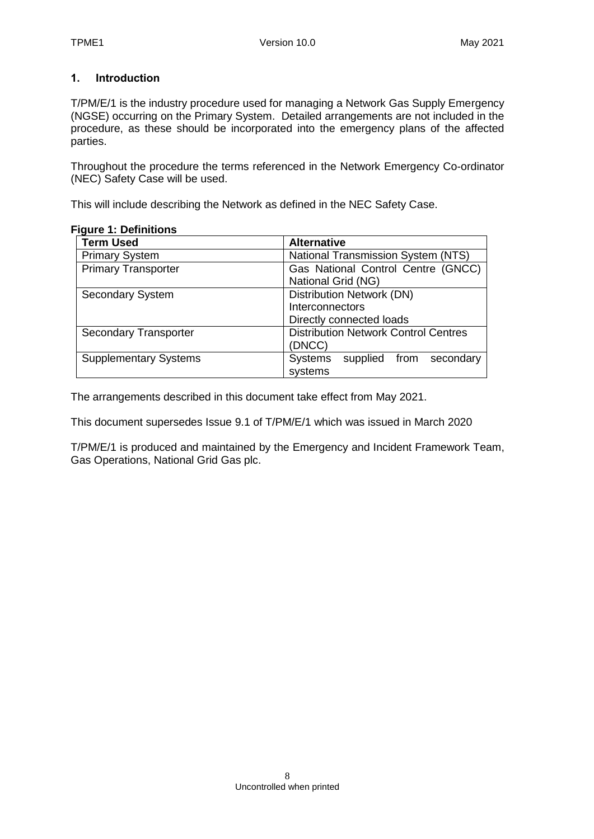### <span id="page-7-0"></span>**1. Introduction**

T/PM/E/1 is the industry procedure used for managing a Network Gas Supply Emergency (NGSE) occurring on the Primary System. Detailed arrangements are not included in the procedure, as these should be incorporated into the emergency plans of the affected parties.

Throughout the procedure the terms referenced in the Network Emergency Co-ordinator (NEC) Safety Case will be used.

This will include describing the Network as defined in the NEC Safety Case.

| <b>Term Used</b>             | <b>Alternative</b>                          |  |  |
|------------------------------|---------------------------------------------|--|--|
| <b>Primary System</b>        | <b>National Transmission System (NTS)</b>   |  |  |
| <b>Primary Transporter</b>   | Gas National Control Centre (GNCC)          |  |  |
|                              | National Grid (NG)                          |  |  |
| <b>Secondary System</b>      | Distribution Network (DN)                   |  |  |
|                              | Interconnectors                             |  |  |
|                              | Directly connected loads                    |  |  |
| <b>Secondary Transporter</b> | <b>Distribution Network Control Centres</b> |  |  |
|                              | (DNCC)                                      |  |  |
| <b>Supplementary Systems</b> | <b>Systems</b><br>supplied from secondary   |  |  |
|                              | systems                                     |  |  |

#### **Figure 1: Definitions**

The arrangements described in this document take effect from May 2021.

This document supersedes Issue 9.1 of T/PM/E/1 which was issued in March 2020

T/PM/E/1 is produced and maintained by the Emergency and Incident Framework Team, Gas Operations, National Grid Gas plc.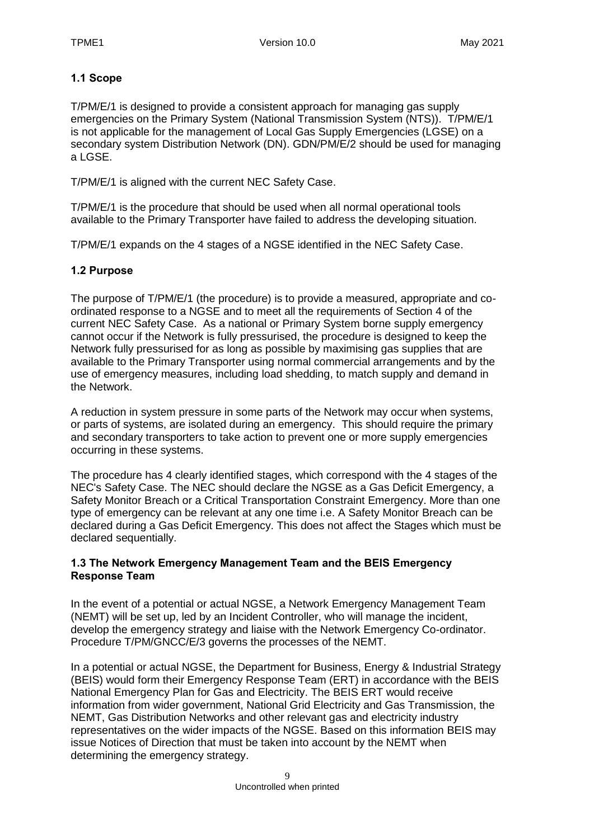### <span id="page-8-0"></span>**1.1 Scope**

T/PM/E/1 is designed to provide a consistent approach for managing gas supply emergencies on the Primary System (National Transmission System (NTS)). T/PM/E/1 is not applicable for the management of Local Gas Supply Emergencies (LGSE) on a secondary system Distribution Network (DN). GDN/PM/E/2 should be used for managing a LGSE.

T/PM/E/1 is aligned with the current NEC Safety Case.

T/PM/E/1 is the procedure that should be used when all normal operational tools available to the Primary Transporter have failed to address the developing situation.

T/PM/E/1 expands on the 4 stages of a NGSE identified in the NEC Safety Case.

#### <span id="page-8-1"></span>**1.2 Purpose**

The purpose of T/PM/E/1 (the procedure) is to provide a measured, appropriate and coordinated response to a NGSE and to meet all the requirements of Section 4 of the current NEC Safety Case. As a national or Primary System borne supply emergency cannot occur if the Network is fully pressurised, the procedure is designed to keep the Network fully pressurised for as long as possible by maximising gas supplies that are available to the Primary Transporter using normal commercial arrangements and by the use of emergency measures, including load shedding, to match supply and demand in the Network.

A reduction in system pressure in some parts of the Network may occur when systems, or parts of systems, are isolated during an emergency. This should require the primary and secondary transporters to take action to prevent one or more supply emergencies occurring in these systems.

The procedure has 4 clearly identified stages, which correspond with the 4 stages of the NEC's Safety Case. The NEC should declare the NGSE as a Gas Deficit Emergency, a Safety Monitor Breach or a Critical Transportation Constraint Emergency. More than one type of emergency can be relevant at any one time i.e. A Safety Monitor Breach can be declared during a Gas Deficit Emergency. This does not affect the Stages which must be declared sequentially.

#### <span id="page-8-2"></span>**1.3 The Network Emergency Management Team and the BEIS Emergency Response Team**

In the event of a potential or actual NGSE, a Network Emergency Management Team (NEMT) will be set up, led by an Incident Controller, who will manage the incident, develop the emergency strategy and liaise with the Network Emergency Co-ordinator. Procedure T/PM/GNCC/E/3 governs the processes of the NEMT.

In a potential or actual NGSE, the Department for Business, Energy & Industrial Strategy (BEIS) would form their Emergency Response Team (ERT) in accordance with the BEIS National Emergency Plan for Gas and Electricity. The BEIS ERT would receive information from wider government, National Grid Electricity and Gas Transmission, the NEMT, Gas Distribution Networks and other relevant gas and electricity industry representatives on the wider impacts of the NGSE. Based on this information BEIS may issue Notices of Direction that must be taken into account by the NEMT when determining the emergency strategy.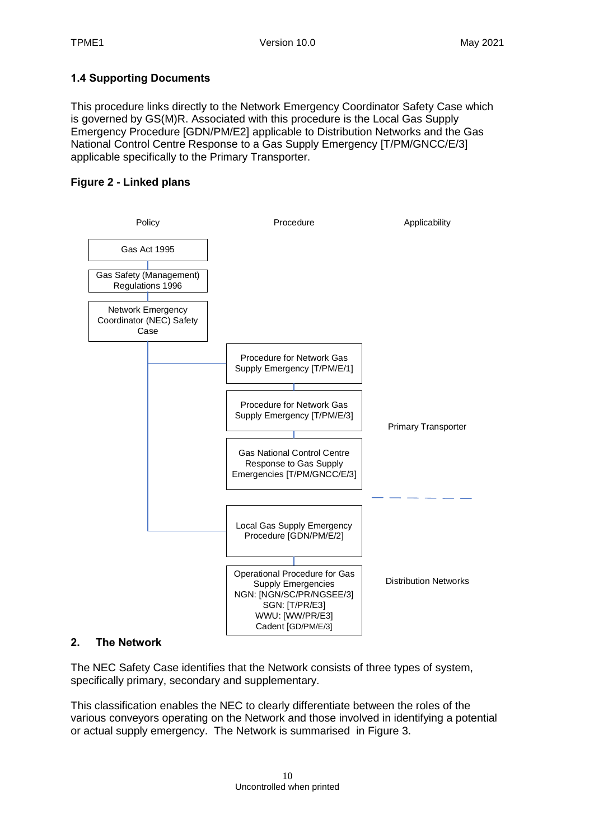### <span id="page-9-0"></span>**1.4 Supporting Documents**

This procedure links directly to the Network Emergency Coordinator Safety Case which is governed by GS(M)R. Associated with this procedure is the Local Gas Supply Emergency Procedure [GDN/PM/E2] applicable to Distribution Networks and the Gas National Control Centre Response to a Gas Supply Emergency [T/PM/GNCC/E/3] applicable specifically to the Primary Transporter.

### **Figure 2 - Linked plans**



#### <span id="page-9-1"></span>**2. The Network**

The NEC Safety Case identifies that the Network consists of three types of system, specifically primary, secondary and supplementary.

This classification enables the NEC to clearly differentiate between the roles of the various conveyors operating on the Network and those involved in identifying a potential or actual supply emergency. The Network is summarised in Figure 3.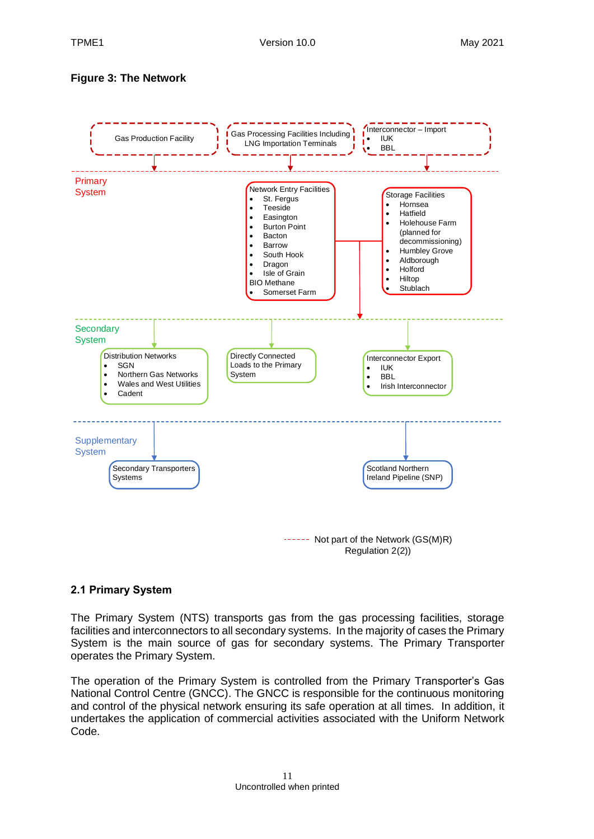### **Figure 3: The Network**



#### <span id="page-10-0"></span>**2.1 Primary System**

The Primary System (NTS) transports gas from the gas processing facilities, storage facilities and interconnectors to all secondary systems. In the majority of cases the Primary System is the main source of gas for secondary systems. The Primary Transporter operates the Primary System.

The operation of the Primary System is controlled from the Primary Transporter's Gas National Control Centre (GNCC). The GNCC is responsible for the continuous monitoring and control of the physical network ensuring its safe operation at all times. In addition, it undertakes the application of commercial activities associated with the Uniform Network Code.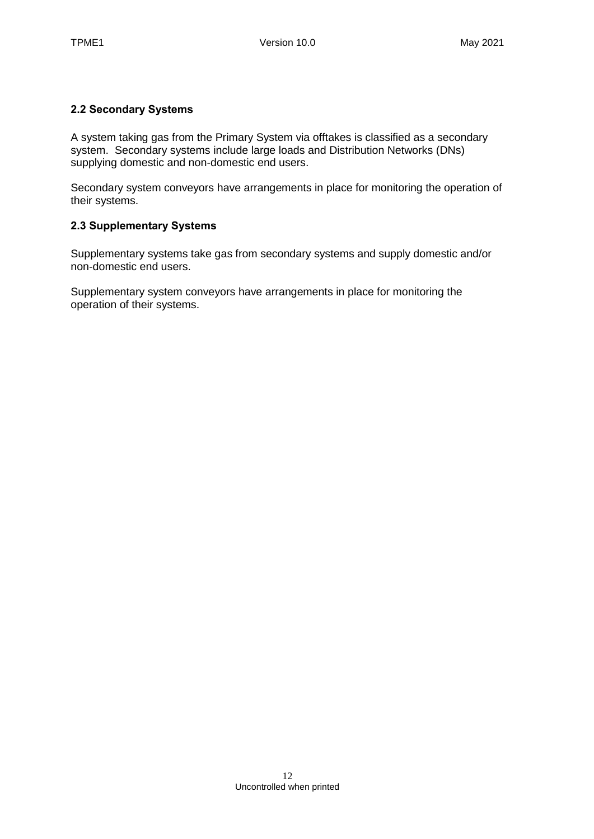### <span id="page-11-0"></span>**2.2 Secondary Systems**

A system taking gas from the Primary System via offtakes is classified as a secondary system. Secondary systems include large loads and Distribution Networks (DNs) supplying domestic and non-domestic end users.

Secondary system conveyors have arrangements in place for monitoring the operation of their systems.

### <span id="page-11-1"></span>**2.3 Supplementary Systems**

Supplementary systems take gas from secondary systems and supply domestic and/or non-domestic end users.

Supplementary system conveyors have arrangements in place for monitoring the operation of their systems.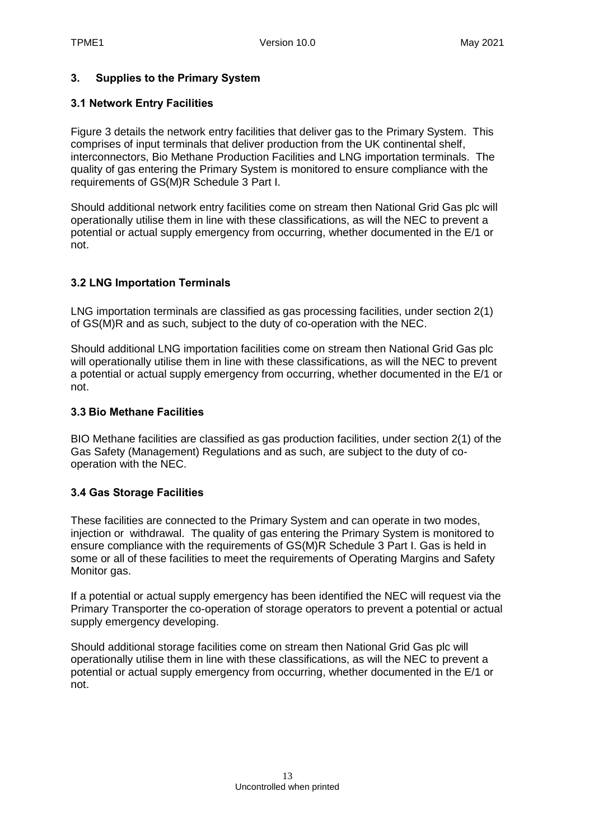### <span id="page-12-0"></span>**3. Supplies to the Primary System**

#### <span id="page-12-1"></span>**3.1 Network Entry Facilities**

Figure 3 details the network entry facilities that deliver gas to the Primary System. This comprises of input terminals that deliver production from the UK continental shelf, interconnectors, Bio Methane Production Facilities and LNG importation terminals. The quality of gas entering the Primary System is monitored to ensure compliance with the requirements of GS(M)R Schedule 3 Part I.

Should additional network entry facilities come on stream then National Grid Gas plc will operationally utilise them in line with these classifications, as will the NEC to prevent a potential or actual supply emergency from occurring, whether documented in the E/1 or not.

### <span id="page-12-2"></span>**3.2 LNG Importation Terminals**

LNG importation terminals are classified as gas processing facilities, under section 2(1) of GS(M)R and as such, subject to the duty of co-operation with the NEC.

Should additional LNG importation facilities come on stream then National Grid Gas plc will operationally utilise them in line with these classifications, as will the NEC to prevent a potential or actual supply emergency from occurring, whether documented in the E/1 or not.

#### <span id="page-12-3"></span>**3.3 Bio Methane Facilities**

BIO Methane facilities are classified as gas production facilities, under section 2(1) of the Gas Safety (Management) Regulations and as such, are subject to the duty of cooperation with the NEC.

### <span id="page-12-4"></span>**3.4 Gas Storage Facilities**

These facilities are connected to the Primary System and can operate in two modes, injection or withdrawal. The quality of gas entering the Primary System is monitored to ensure compliance with the requirements of GS(M)R Schedule 3 Part I. Gas is held in some or all of these facilities to meet the requirements of Operating Margins and Safety Monitor gas.

If a potential or actual supply emergency has been identified the NEC will request via the Primary Transporter the co-operation of storage operators to prevent a potential or actual supply emergency developing.

Should additional storage facilities come on stream then National Grid Gas plc will operationally utilise them in line with these classifications, as will the NEC to prevent a potential or actual supply emergency from occurring, whether documented in the E/1 or not.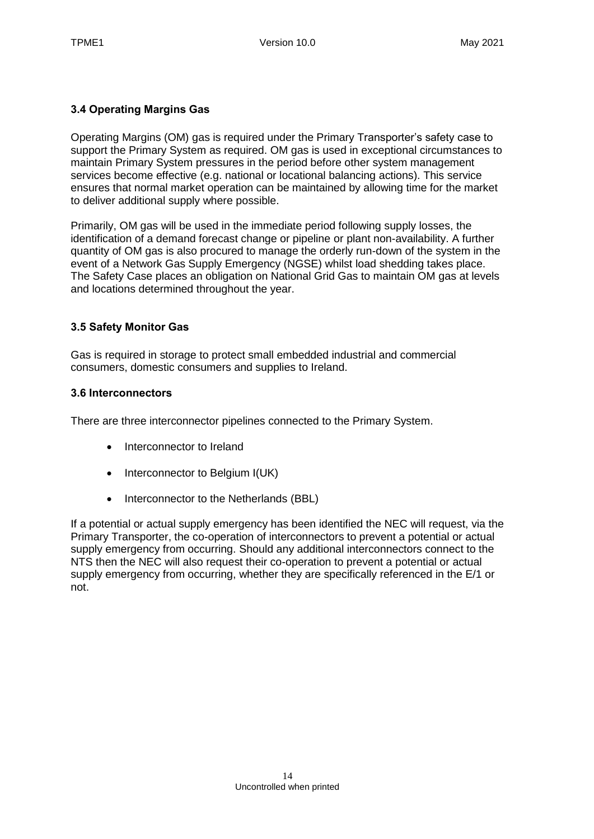### <span id="page-13-0"></span>**3.4 Operating Margins Gas**

Operating Margins (OM) gas is required under the Primary Transporter's safety case to support the Primary System as required. OM gas is used in exceptional circumstances to maintain Primary System pressures in the period before other system management services become effective (e.g. national or locational balancing actions). This service ensures that normal market operation can be maintained by allowing time for the market to deliver additional supply where possible.

Primarily, OM gas will be used in the immediate period following supply losses, the identification of a demand forecast change or pipeline or plant non-availability. A further quantity of OM gas is also procured to manage the orderly run-down of the system in the event of a Network Gas Supply Emergency (NGSE) whilst load shedding takes place. The Safety Case places an obligation on National Grid Gas to maintain OM gas at levels and locations determined throughout the year.

### <span id="page-13-1"></span>**3.5 Safety Monitor Gas**

Gas is required in storage to protect small embedded industrial and commercial consumers, domestic consumers and supplies to Ireland.

#### <span id="page-13-2"></span>**3.6 Interconnectors**

There are three interconnector pipelines connected to the Primary System.

- Interconnector to Ireland
- Interconnector to Belgium I(UK)
- Interconnector to the Netherlands (BBL)

If a potential or actual supply emergency has been identified the NEC will request, via the Primary Transporter, the co-operation of interconnectors to prevent a potential or actual supply emergency from occurring. Should any additional interconnectors connect to the NTS then the NEC will also request their co-operation to prevent a potential or actual supply emergency from occurring, whether they are specifically referenced in the E/1 or not.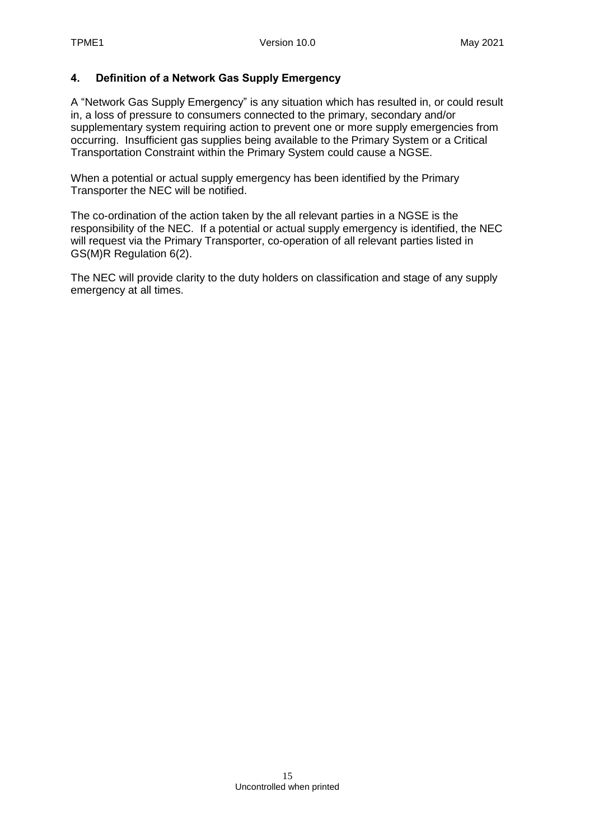### <span id="page-14-0"></span>**4. Definition of a Network Gas Supply Emergency**

A "Network Gas Supply Emergency" is any situation which has resulted in, or could result in, a loss of pressure to consumers connected to the primary, secondary and/or supplementary system requiring action to prevent one or more supply emergencies from occurring. Insufficient gas supplies being available to the Primary System or a Critical Transportation Constraint within the Primary System could cause a NGSE.

When a potential or actual supply emergency has been identified by the Primary Transporter the NEC will be notified.

The co-ordination of the action taken by the all relevant parties in a NGSE is the responsibility of the NEC. If a potential or actual supply emergency is identified, the NEC will request via the Primary Transporter, co-operation of all relevant parties listed in GS(M)R Regulation 6(2).

The NEC will provide clarity to the duty holders on classification and stage of any supply emergency at all times.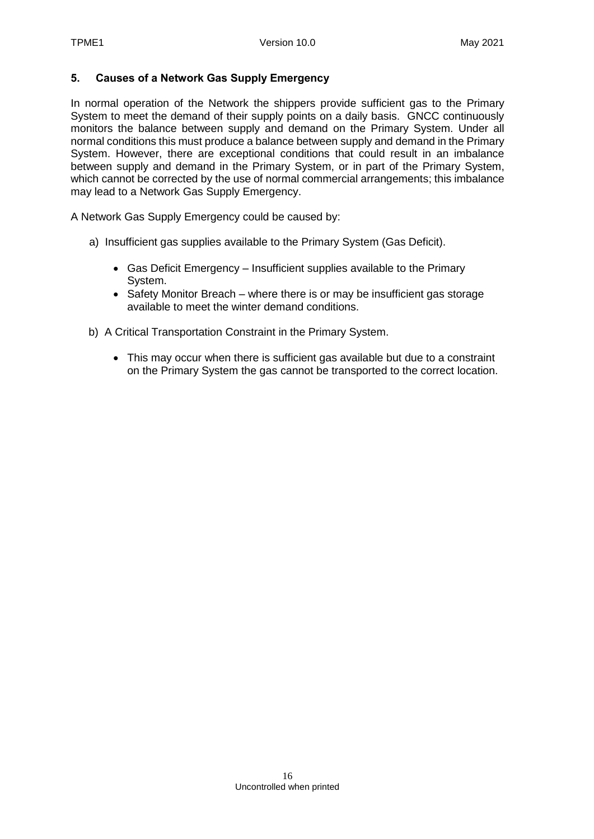### <span id="page-15-0"></span>**5. Causes of a Network Gas Supply Emergency**

In normal operation of the Network the shippers provide sufficient gas to the Primary System to meet the demand of their supply points on a daily basis. GNCC continuously monitors the balance between supply and demand on the Primary System. Under all normal conditions this must produce a balance between supply and demand in the Primary System. However, there are exceptional conditions that could result in an imbalance between supply and demand in the Primary System, or in part of the Primary System, which cannot be corrected by the use of normal commercial arrangements; this imbalance may lead to a Network Gas Supply Emergency.

A Network Gas Supply Emergency could be caused by:

- a) Insufficient gas supplies available to the Primary System (Gas Deficit).
	- Gas Deficit Emergency Insufficient supplies available to the Primary System.
	- Safety Monitor Breach where there is or may be insufficient gas storage available to meet the winter demand conditions.
- b) A Critical Transportation Constraint in the Primary System.
	- This may occur when there is sufficient gas available but due to a constraint on the Primary System the gas cannot be transported to the correct location.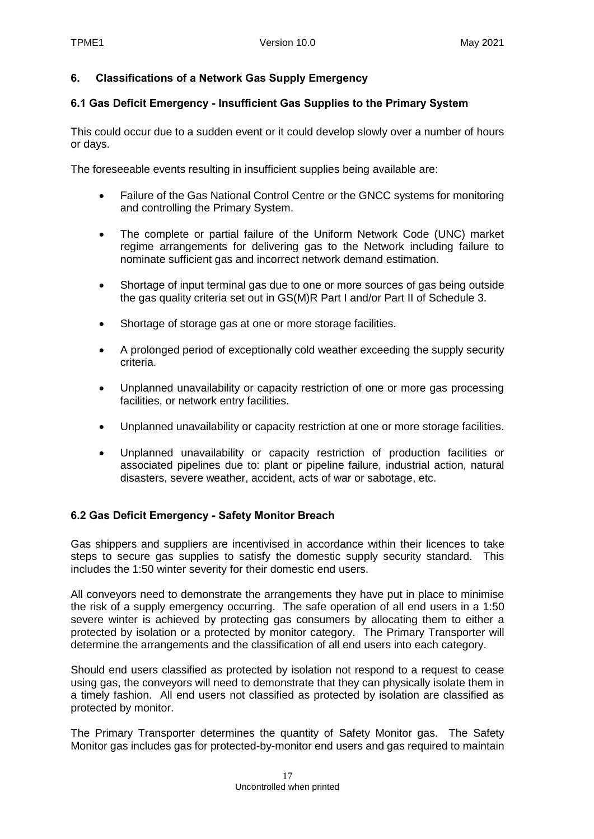#### <span id="page-16-0"></span>**6. Classifications of a Network Gas Supply Emergency**

#### <span id="page-16-1"></span>**6.1 Gas Deficit Emergency - Insufficient Gas Supplies to the Primary System**

This could occur due to a sudden event or it could develop slowly over a number of hours or days.

The foreseeable events resulting in insufficient supplies being available are:

- Failure of the Gas National Control Centre or the GNCC systems for monitoring and controlling the Primary System.
- The complete or partial failure of the Uniform Network Code (UNC) market regime arrangements for delivering gas to the Network including failure to nominate sufficient gas and incorrect network demand estimation.
- Shortage of input terminal gas due to one or more sources of gas being outside the gas quality criteria set out in GS(M)R Part I and/or Part II of Schedule 3.
- Shortage of storage gas at one or more storage facilities.
- A prolonged period of exceptionally cold weather exceeding the supply security criteria.
- Unplanned unavailability or capacity restriction of one or more gas processing facilities, or network entry facilities.
- Unplanned unavailability or capacity restriction at one or more storage facilities.
- Unplanned unavailability or capacity restriction of production facilities or associated pipelines due to: plant or pipeline failure, industrial action, natural disasters, severe weather, accident, acts of war or sabotage, etc.

#### <span id="page-16-2"></span>**6.2 Gas Deficit Emergency - Safety Monitor Breach**

Gas shippers and suppliers are incentivised in accordance within their licences to take steps to secure gas supplies to satisfy the domestic supply security standard. This includes the 1:50 winter severity for their domestic end users.

All conveyors need to demonstrate the arrangements they have put in place to minimise the risk of a supply emergency occurring. The safe operation of all end users in a 1:50 severe winter is achieved by protecting gas consumers by allocating them to either a protected by isolation or a protected by monitor category. The Primary Transporter will determine the arrangements and the classification of all end users into each category.

Should end users classified as protected by isolation not respond to a request to cease using gas, the conveyors will need to demonstrate that they can physically isolate them in a timely fashion. All end users not classified as protected by isolation are classified as protected by monitor.

The Primary Transporter determines the quantity of Safety Monitor gas. The Safety Monitor gas includes gas for protected-by-monitor end users and gas required to maintain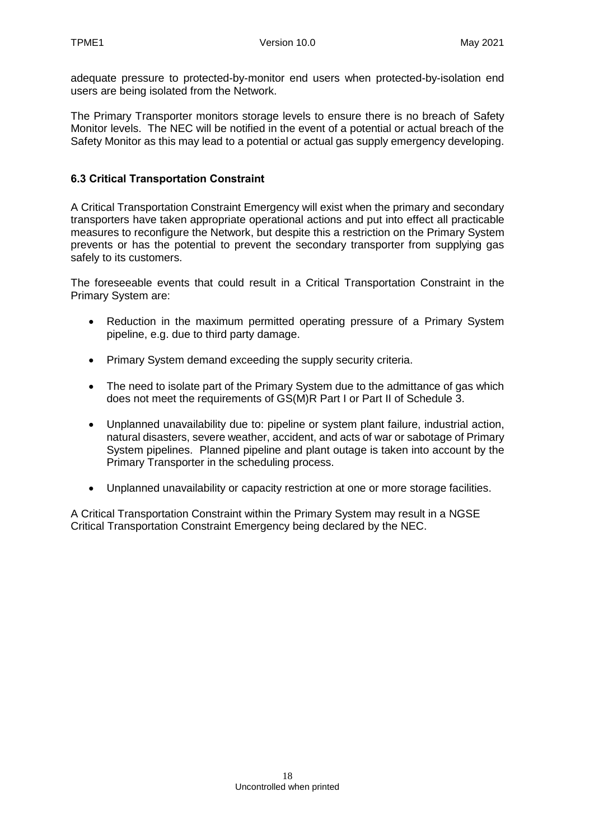adequate pressure to protected-by-monitor end users when protected-by-isolation end users are being isolated from the Network.

The Primary Transporter monitors storage levels to ensure there is no breach of Safety Monitor levels. The NEC will be notified in the event of a potential or actual breach of the Safety Monitor as this may lead to a potential or actual gas supply emergency developing.

### <span id="page-17-0"></span>**6.3 Critical Transportation Constraint**

A Critical Transportation Constraint Emergency will exist when the primary and secondary transporters have taken appropriate operational actions and put into effect all practicable measures to reconfigure the Network, but despite this a restriction on the Primary System prevents or has the potential to prevent the secondary transporter from supplying gas safely to its customers.

The foreseeable events that could result in a Critical Transportation Constraint in the Primary System are:

- Reduction in the maximum permitted operating pressure of a Primary System pipeline, e.g. due to third party damage.
- Primary System demand exceeding the supply security criteria.
- The need to isolate part of the Primary System due to the admittance of gas which does not meet the requirements of GS(M)R Part I or Part II of Schedule 3.
- Unplanned unavailability due to: pipeline or system plant failure, industrial action, natural disasters, severe weather, accident, and acts of war or sabotage of Primary System pipelines. Planned pipeline and plant outage is taken into account by the Primary Transporter in the scheduling process.
- Unplanned unavailability or capacity restriction at one or more storage facilities.

A Critical Transportation Constraint within the Primary System may result in a NGSE Critical Transportation Constraint Emergency being declared by the NEC.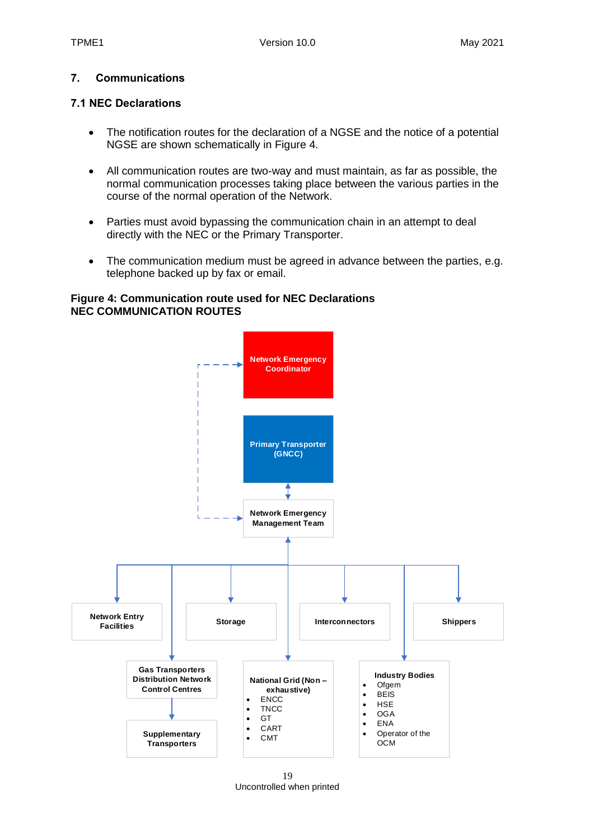### <span id="page-18-0"></span>**7. Communications**

#### <span id="page-18-1"></span>**7.1 NEC Declarations**

- The notification routes for the declaration of a NGSE and the notice of a potential NGSE are shown schematically in Figure 4.
- All communication routes are two-way and must maintain, as far as possible, the normal communication processes taking place between the various parties in the course of the normal operation of the Network.
- Parties must avoid bypassing the communication chain in an attempt to deal directly with the NEC or the Primary Transporter.
- The communication medium must be agreed in advance between the parties, e.g. telephone backed up by fax or email.

#### **Figure 4: Communication route used for NEC Declarations NEC COMMUNICATION ROUTES**



19 Uncontrolled when printed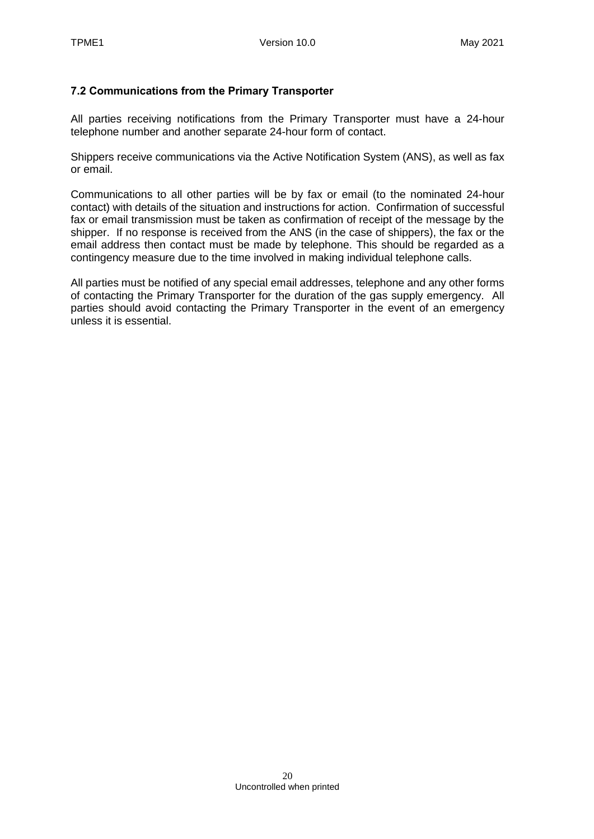### <span id="page-19-0"></span>**7.2 Communications from the Primary Transporter**

All parties receiving notifications from the Primary Transporter must have a 24-hour telephone number and another separate 24-hour form of contact.

Shippers receive communications via the Active Notification System (ANS), as well as fax or email.

Communications to all other parties will be by fax or email (to the nominated 24-hour contact) with details of the situation and instructions for action. Confirmation of successful fax or email transmission must be taken as confirmation of receipt of the message by the shipper. If no response is received from the ANS (in the case of shippers), the fax or the email address then contact must be made by telephone. This should be regarded as a contingency measure due to the time involved in making individual telephone calls.

All parties must be notified of any special email addresses, telephone and any other forms of contacting the Primary Transporter for the duration of the gas supply emergency. All parties should avoid contacting the Primary Transporter in the event of an emergency unless it is essential.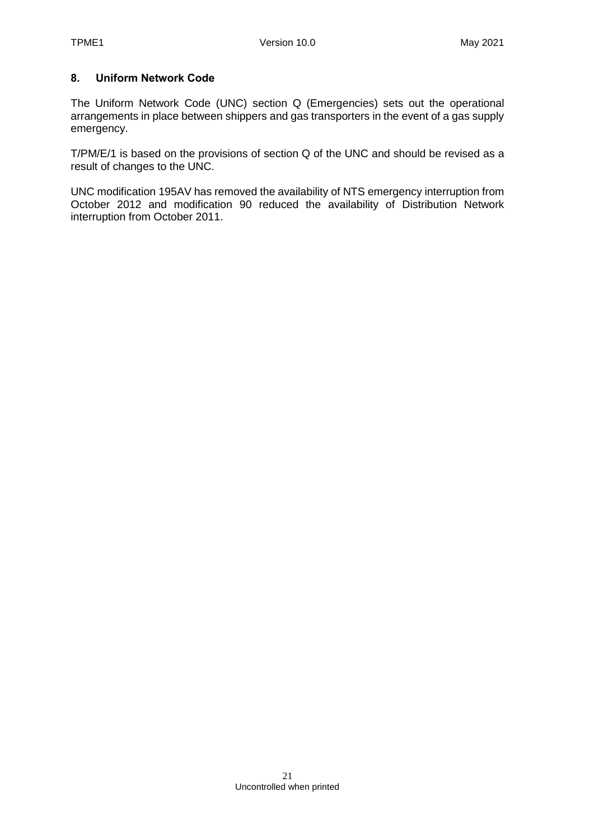### <span id="page-20-0"></span>**8. Uniform Network Code**

The Uniform Network Code (UNC) section Q (Emergencies) sets out the operational arrangements in place between shippers and gas transporters in the event of a gas supply emergency.

T/PM/E/1 is based on the provisions of section Q of the UNC and should be revised as a result of changes to the UNC.

UNC modification 195AV has removed the availability of NTS emergency interruption from October 2012 and modification 90 reduced the availability of Distribution Network interruption from October 2011.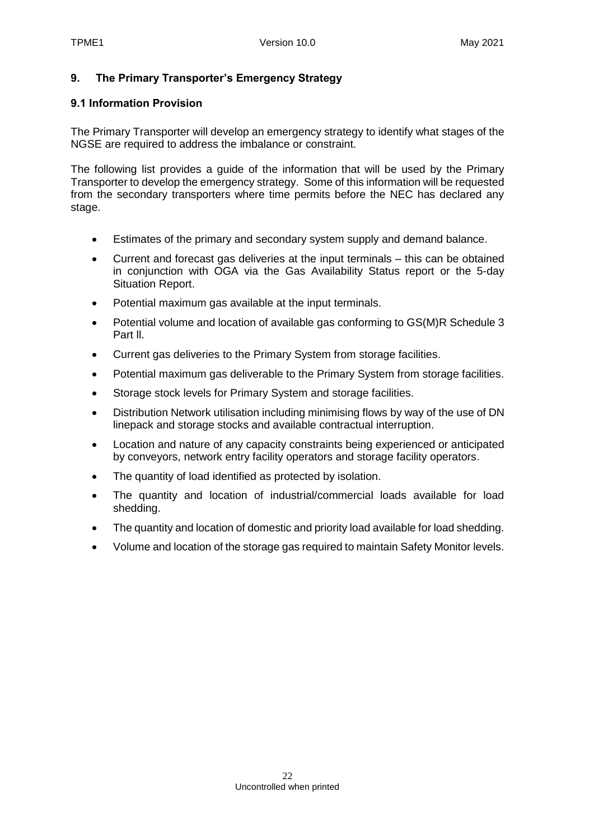#### <span id="page-21-0"></span>**9. The Primary Transporter's Emergency Strategy**

#### <span id="page-21-1"></span>**9.1 Information Provision**

The Primary Transporter will develop an emergency strategy to identify what stages of the NGSE are required to address the imbalance or constraint.

The following list provides a guide of the information that will be used by the Primary Transporter to develop the emergency strategy. Some of this information will be requested from the secondary transporters where time permits before the NEC has declared any stage.

- Estimates of the primary and secondary system supply and demand balance.
- Current and forecast gas deliveries at the input terminals this can be obtained in conjunction with OGA via the Gas Availability Status report or the 5-day Situation Report.
- Potential maximum gas available at the input terminals.
- Potential volume and location of available gas conforming to GS(M)R Schedule 3 Part ll.
- Current gas deliveries to the Primary System from storage facilities.
- Potential maximum gas deliverable to the Primary System from storage facilities.
- Storage stock levels for Primary System and storage facilities.
- Distribution Network utilisation including minimising flows by way of the use of DN linepack and storage stocks and available contractual interruption.
- Location and nature of any capacity constraints being experienced or anticipated by conveyors, network entry facility operators and storage facility operators.
- The quantity of load identified as protected by isolation.
- The quantity and location of industrial/commercial loads available for load shedding.
- The quantity and location of domestic and priority load available for load shedding.
- Volume and location of the storage gas required to maintain Safety Monitor levels.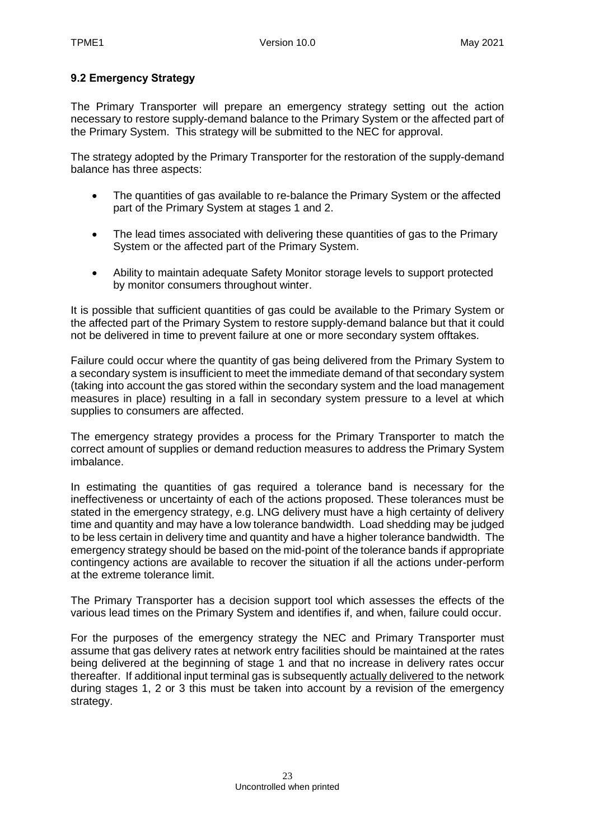### <span id="page-22-0"></span>**9.2 Emergency Strategy**

The Primary Transporter will prepare an emergency strategy setting out the action necessary to restore supply-demand balance to the Primary System or the affected part of the Primary System. This strategy will be submitted to the NEC for approval.

The strategy adopted by the Primary Transporter for the restoration of the supply-demand balance has three aspects:

- The quantities of gas available to re-balance the Primary System or the affected part of the Primary System at stages 1 and 2.
- The lead times associated with delivering these quantities of gas to the Primary System or the affected part of the Primary System.
- Ability to maintain adequate Safety Monitor storage levels to support protected by monitor consumers throughout winter.

It is possible that sufficient quantities of gas could be available to the Primary System or the affected part of the Primary System to restore supply-demand balance but that it could not be delivered in time to prevent failure at one or more secondary system offtakes.

Failure could occur where the quantity of gas being delivered from the Primary System to a secondary system is insufficient to meet the immediate demand of that secondary system (taking into account the gas stored within the secondary system and the load management measures in place) resulting in a fall in secondary system pressure to a level at which supplies to consumers are affected.

The emergency strategy provides a process for the Primary Transporter to match the correct amount of supplies or demand reduction measures to address the Primary System imbalance.

In estimating the quantities of gas required a tolerance band is necessary for the ineffectiveness or uncertainty of each of the actions proposed. These tolerances must be stated in the emergency strategy, e.g. LNG delivery must have a high certainty of delivery time and quantity and may have a low tolerance bandwidth. Load shedding may be judged to be less certain in delivery time and quantity and have a higher tolerance bandwidth. The emergency strategy should be based on the mid-point of the tolerance bands if appropriate contingency actions are available to recover the situation if all the actions under-perform at the extreme tolerance limit.

The Primary Transporter has a decision support tool which assesses the effects of the various lead times on the Primary System and identifies if, and when, failure could occur.

For the purposes of the emergency strategy the NEC and Primary Transporter must assume that gas delivery rates at network entry facilities should be maintained at the rates being delivered at the beginning of stage 1 and that no increase in delivery rates occur thereafter. If additional input terminal gas is subsequently actually delivered to the network during stages 1, 2 or 3 this must be taken into account by a revision of the emergency strategy.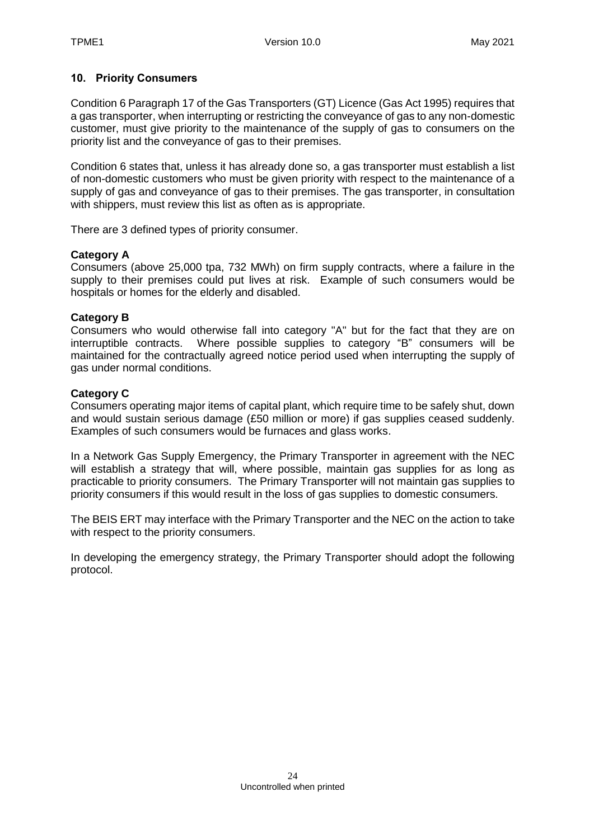#### <span id="page-23-0"></span>**10. Priority Consumers**

Condition 6 Paragraph 17 of the Gas Transporters (GT) Licence (Gas Act 1995) requires that a gas transporter, when interrupting or restricting the conveyance of gas to any non-domestic customer, must give priority to the maintenance of the supply of gas to consumers on the priority list and the conveyance of gas to their premises.

Condition 6 states that, unless it has already done so, a gas transporter must establish a list of non-domestic customers who must be given priority with respect to the maintenance of a supply of gas and conveyance of gas to their premises. The gas transporter, in consultation with shippers, must review this list as often as is appropriate.

There are 3 defined types of priority consumer.

#### **Category A**

Consumers (above 25,000 tpa, 732 MWh) on firm supply contracts, where a failure in the supply to their premises could put lives at risk. Example of such consumers would be hospitals or homes for the elderly and disabled.

#### **Category B**

Consumers who would otherwise fall into category "A" but for the fact that they are on interruptible contracts. Where possible supplies to category "B" consumers will be maintained for the contractually agreed notice period used when interrupting the supply of gas under normal conditions.

#### **Category C**

Consumers operating major items of capital plant, which require time to be safely shut, down and would sustain serious damage (£50 million or more) if gas supplies ceased suddenly. Examples of such consumers would be furnaces and glass works.

In a Network Gas Supply Emergency, the Primary Transporter in agreement with the NEC will establish a strategy that will, where possible, maintain gas supplies for as long as practicable to priority consumers. The Primary Transporter will not maintain gas supplies to priority consumers if this would result in the loss of gas supplies to domestic consumers.

The BEIS ERT may interface with the Primary Transporter and the NEC on the action to take with respect to the priority consumers.

In developing the emergency strategy, the Primary Transporter should adopt the following protocol.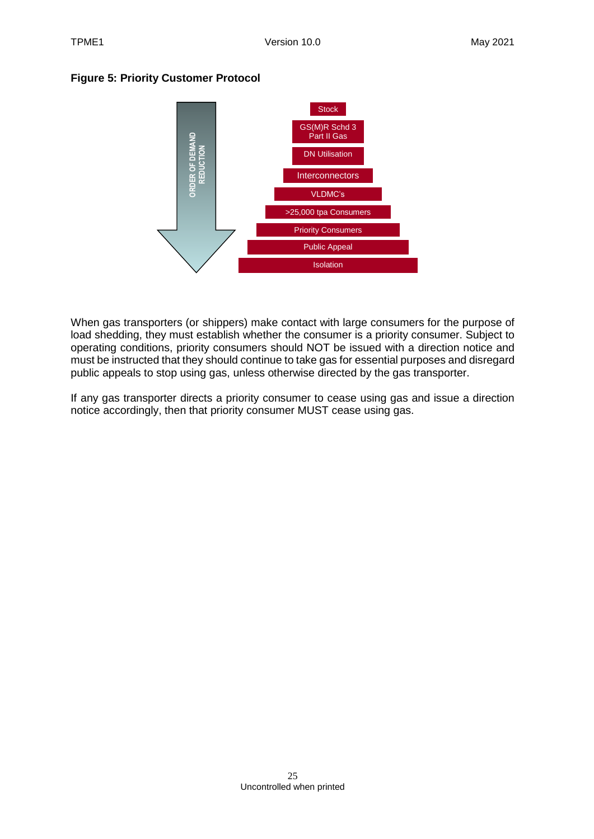#### **Figure 5: Priority Customer Protocol**



When gas transporters (or shippers) make contact with large consumers for the purpose of load shedding, they must establish whether the consumer is a priority consumer. Subject to operating conditions, priority consumers should NOT be issued with a direction notice and must be instructed that they should continue to take gas for essential purposes and disregard public appeals to stop using gas, unless otherwise directed by the gas transporter.

If any gas transporter directs a priority consumer to cease using gas and issue a direction notice accordingly, then that priority consumer MUST cease using gas.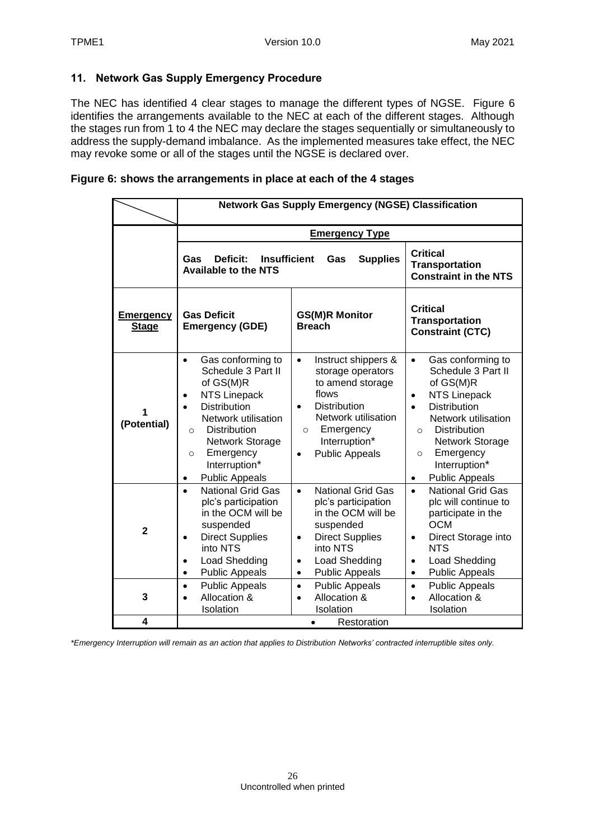### <span id="page-25-0"></span>**11. Network Gas Supply Emergency Procedure**

The NEC has identified 4 clear stages to manage the different types of NGSE. Figure 6 identifies the arrangements available to the NEC at each of the different stages. Although the stages run from 1 to 4 the NEC may declare the stages sequentially or simultaneously to address the supply-demand imbalance. As the implemented measures take effect, the NEC may revoke some or all of the stages until the NGSE is declared over.

#### **Figure 6: shows the arrangements in place at each of the 4 stages**

|                                  | <b>Network Gas Supply Emergency (NGSE) Classification</b>                                                                                                                                                                                                      |                                                                                                                                                                                                                               |                                                                                                                                                                                                                                                                                                      |  |
|----------------------------------|----------------------------------------------------------------------------------------------------------------------------------------------------------------------------------------------------------------------------------------------------------------|-------------------------------------------------------------------------------------------------------------------------------------------------------------------------------------------------------------------------------|------------------------------------------------------------------------------------------------------------------------------------------------------------------------------------------------------------------------------------------------------------------------------------------------------|--|
|                                  | <b>Emergency Type</b>                                                                                                                                                                                                                                          |                                                                                                                                                                                                                               |                                                                                                                                                                                                                                                                                                      |  |
|                                  | Deficit:<br><b>Insufficient</b><br>Gas<br>Gas<br><b>Supplies</b><br><b>Available to the NTS</b>                                                                                                                                                                |                                                                                                                                                                                                                               | <b>Critical</b><br><b>Transportation</b><br><b>Constraint in the NTS</b>                                                                                                                                                                                                                             |  |
| <b>Emergency</b><br><b>Stage</b> | <b>Gas Deficit</b><br><b>Emergency (GDE)</b>                                                                                                                                                                                                                   | <b>GS(M)R Monitor</b><br><b>Breach</b>                                                                                                                                                                                        | <b>Critical</b><br><b>Transportation</b><br><b>Constraint (CTC)</b>                                                                                                                                                                                                                                  |  |
| (Potential)                      | Gas conforming to<br>$\bullet$<br>Schedule 3 Part II<br>of GS(M)R<br><b>NTS Linepack</b><br><b>Distribution</b><br>Network utilisation<br><b>Distribution</b><br>$\Omega$<br>Network Storage<br>Emergency<br>$\circ$<br>Interruption*<br><b>Public Appeals</b> | Instruct shippers &<br>$\bullet$<br>storage operators<br>to amend storage<br>flows<br><b>Distribution</b><br>$\bullet$<br>Network utilisation<br>Emergency<br>$\circ$<br>Interruption*<br><b>Public Appeals</b><br>$\bullet$  | Gas conforming to<br>$\bullet$<br>Schedule 3 Part II<br>of GS(M)R<br><b>NTS Linepack</b><br>$\bullet$<br><b>Distribution</b><br>$\bullet$<br>Network utilisation<br><b>Distribution</b><br>$\circ$<br>Network Storage<br>Emergency<br>$\circ$<br>Interruption*<br><b>Public Appeals</b><br>$\bullet$ |  |
| $\overline{2}$                   | <b>National Grid Gas</b><br>plc's participation<br>in the OCM will be<br>suspended<br><b>Direct Supplies</b><br>into NTS<br>Load Shedding<br><b>Public Appeals</b>                                                                                             | <b>National Grid Gas</b><br>$\bullet$<br>plc's participation<br>in the OCM will be<br>suspended<br><b>Direct Supplies</b><br>$\bullet$<br>into NTS<br><b>Load Shedding</b><br>$\bullet$<br><b>Public Appeals</b><br>$\bullet$ | <b>National Grid Gas</b><br>$\bullet$<br>plc will continue to<br>participate in the<br><b>OCM</b><br>Direct Storage into<br>$\bullet$<br><b>NTS</b><br>Load Shedding<br>$\bullet$<br><b>Public Appeals</b><br>$\bullet$                                                                              |  |
| 3                                | <b>Public Appeals</b><br>Allocation &<br>Isolation                                                                                                                                                                                                             | <b>Public Appeals</b><br>$\bullet$<br>Allocation &<br>$\bullet$<br>Isolation                                                                                                                                                  | <b>Public Appeals</b><br>$\bullet$<br>Allocation &<br>$\bullet$<br>Isolation                                                                                                                                                                                                                         |  |
| $\boldsymbol{4}$                 |                                                                                                                                                                                                                                                                | Restoration<br>$\bullet$                                                                                                                                                                                                      |                                                                                                                                                                                                                                                                                                      |  |

*\*Emergency Interruption will remain as an action that applies to Distribution Networks' contracted interruptible sites only.*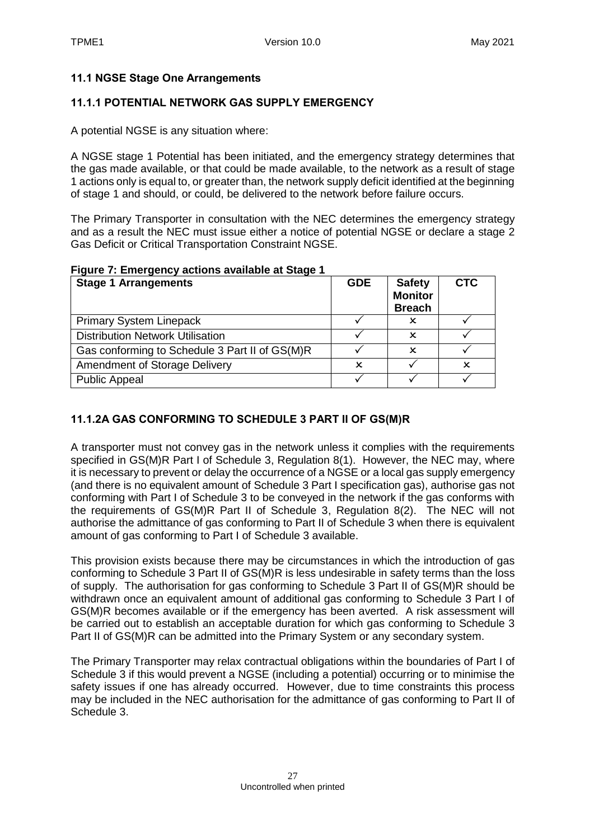#### <span id="page-26-0"></span>**11.1 NGSE Stage One Arrangements**

#### **11.1.1 POTENTIAL NETWORK GAS SUPPLY EMERGENCY**

A potential NGSE is any situation where:

A NGSE stage 1 Potential has been initiated, and the emergency strategy determines that the gas made available, or that could be made available, to the network as a result of stage 1 actions only is equal to, or greater than, the network supply deficit identified at the beginning of stage 1 and should, or could, be delivered to the network before failure occurs.

The Primary Transporter in consultation with the NEC determines the emergency strategy and as a result the NEC must issue either a notice of potential NGSE or declare a stage 2 Gas Deficit or Critical Transportation Constraint NGSE.

#### **Figure 7: Emergency actions available at Stage 1**

| <b>Stage 1 Arrangements</b>                    | <b>GDE</b> | <b>Safety</b><br><b>Monitor</b><br><b>Breach</b> | <b>CTC</b> |
|------------------------------------------------|------------|--------------------------------------------------|------------|
| <b>Primary System Linepack</b>                 |            | x                                                |            |
| <b>Distribution Network Utilisation</b>        |            | x                                                |            |
| Gas conforming to Schedule 3 Part II of GS(M)R |            | x                                                |            |
| <b>Amendment of Storage Delivery</b>           | x          |                                                  | x          |
| <b>Public Appeal</b>                           |            |                                                  |            |

### **11.1.2A GAS CONFORMING TO SCHEDULE 3 PART II OF GS(M)R**

A transporter must not convey gas in the network unless it complies with the requirements specified in GS(M)R Part I of Schedule 3, Regulation 8(1). However, the NEC may, where it is necessary to prevent or delay the occurrence of a NGSE or a local gas supply emergency (and there is no equivalent amount of Schedule 3 Part I specification gas), authorise gas not conforming with Part I of Schedule 3 to be conveyed in the network if the gas conforms with the requirements of GS(M)R Part II of Schedule 3, Regulation 8(2). The NEC will not authorise the admittance of gas conforming to Part II of Schedule 3 when there is equivalent amount of gas conforming to Part I of Schedule 3 available.

This provision exists because there may be circumstances in which the introduction of gas conforming to Schedule 3 Part II of GS(M)R is less undesirable in safety terms than the loss of supply. The authorisation for gas conforming to Schedule 3 Part II of GS(M)R should be withdrawn once an equivalent amount of additional gas conforming to Schedule 3 Part I of GS(M)R becomes available or if the emergency has been averted. A risk assessment will be carried out to establish an acceptable duration for which gas conforming to Schedule 3 Part II of GS(M)R can be admitted into the Primary System or any secondary system.

The Primary Transporter may relax contractual obligations within the boundaries of Part I of Schedule 3 if this would prevent a NGSE (including a potential) occurring or to minimise the safety issues if one has already occurred. However, due to time constraints this process may be included in the NEC authorisation for the admittance of gas conforming to Part II of Schedule 3.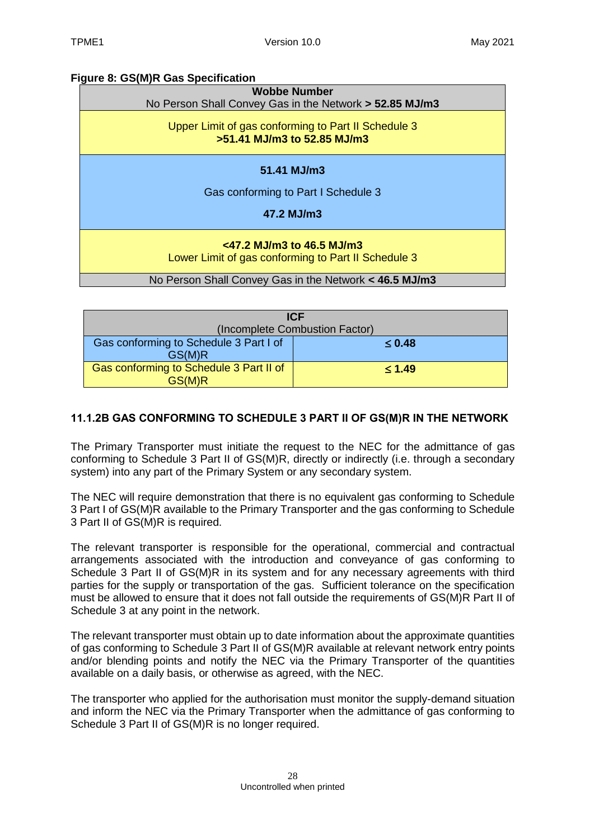### **Figure 8: GS(M)R Gas Specification**

| <b>Wobbe Number</b><br>No Person Shall Convey Gas in the Network > 52.85 MJ/m3      |  |  |
|-------------------------------------------------------------------------------------|--|--|
| Upper Limit of gas conforming to Part II Schedule 3<br>>51.41 MJ/m3 to 52.85 MJ/m3  |  |  |
| $51.41$ MJ/m3                                                                       |  |  |
| Gas conforming to Part I Schedule 3                                                 |  |  |
| 47.2 MJ/m3                                                                          |  |  |
| $<$ 47.2 MJ/m3 to 46.5 MJ/m3<br>Lower Limit of gas conforming to Part II Schedule 3 |  |  |
| No Person Shall Convey Gas in the Network < 46.5 MJ/m3                              |  |  |

| <b>ICF</b>                                        |             |  |
|---------------------------------------------------|-------------|--|
| (Incomplete Combustion Factor)                    |             |  |
| Gas conforming to Schedule 3 Part I of<br>GS(M)R  | $\leq 0.48$ |  |
| Gas conforming to Schedule 3 Part II of<br>GS(M)R | $\leq 1.49$ |  |

### **11.1.2B GAS CONFORMING TO SCHEDULE 3 PART II OF GS(M)R IN THE NETWORK**

The Primary Transporter must initiate the request to the NEC for the admittance of gas conforming to Schedule 3 Part II of GS(M)R, directly or indirectly (i.e. through a secondary system) into any part of the Primary System or any secondary system.

The NEC will require demonstration that there is no equivalent gas conforming to Schedule 3 Part I of GS(M)R available to the Primary Transporter and the gas conforming to Schedule 3 Part II of GS(M)R is required.

The relevant transporter is responsible for the operational, commercial and contractual arrangements associated with the introduction and conveyance of gas conforming to Schedule 3 Part II of GS(M)R in its system and for any necessary agreements with third parties for the supply or transportation of the gas. Sufficient tolerance on the specification must be allowed to ensure that it does not fall outside the requirements of GS(M)R Part II of Schedule 3 at any point in the network.

The relevant transporter must obtain up to date information about the approximate quantities of gas conforming to Schedule 3 Part II of GS(M)R available at relevant network entry points and/or blending points and notify the NEC via the Primary Transporter of the quantities available on a daily basis, or otherwise as agreed, with the NEC.

The transporter who applied for the authorisation must monitor the supply-demand situation and inform the NEC via the Primary Transporter when the admittance of gas conforming to Schedule 3 Part II of GS(M)R is no longer required.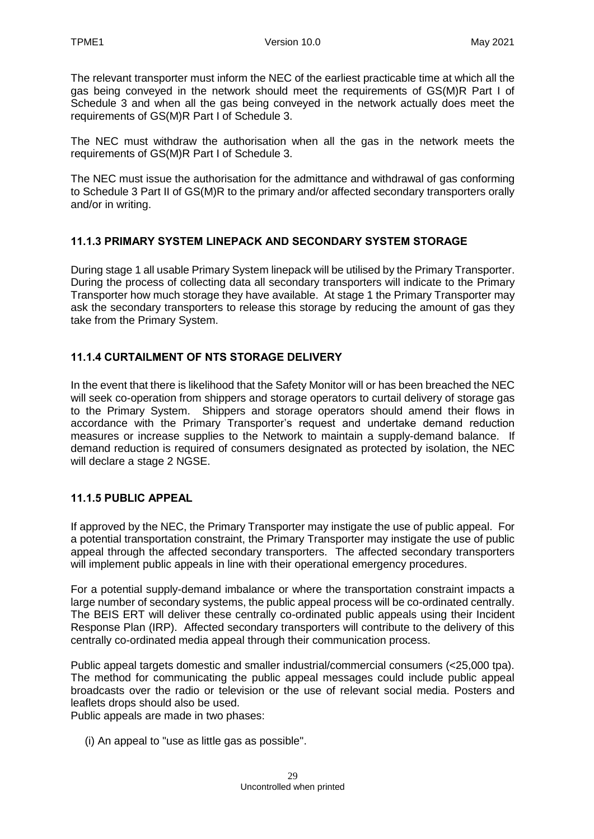The relevant transporter must inform the NEC of the earliest practicable time at which all the gas being conveyed in the network should meet the requirements of GS(M)R Part I of Schedule 3 and when all the gas being conveyed in the network actually does meet the requirements of GS(M)R Part I of Schedule 3.

The NEC must withdraw the authorisation when all the gas in the network meets the requirements of GS(M)R Part I of Schedule 3.

The NEC must issue the authorisation for the admittance and withdrawal of gas conforming to Schedule 3 Part II of GS(M)R to the primary and/or affected secondary transporters orally and/or in writing.

### **11.1.3 PRIMARY SYSTEM LINEPACK AND SECONDARY SYSTEM STORAGE**

During stage 1 all usable Primary System linepack will be utilised by the Primary Transporter. During the process of collecting data all secondary transporters will indicate to the Primary Transporter how much storage they have available. At stage 1 the Primary Transporter may ask the secondary transporters to release this storage by reducing the amount of gas they take from the Primary System.

#### **11.1.4 CURTAILMENT OF NTS STORAGE DELIVERY**

In the event that there is likelihood that the Safety Monitor will or has been breached the NEC will seek co-operation from shippers and storage operators to curtail delivery of storage gas to the Primary System. Shippers and storage operators should amend their flows in accordance with the Primary Transporter's request and undertake demand reduction measures or increase supplies to the Network to maintain a supply-demand balance. If demand reduction is required of consumers designated as protected by isolation, the NEC will declare a stage 2 NGSE.

#### **11.1.5 PUBLIC APPEAL**

If approved by the NEC, the Primary Transporter may instigate the use of public appeal. For a potential transportation constraint, the Primary Transporter may instigate the use of public appeal through the affected secondary transporters. The affected secondary transporters will implement public appeals in line with their operational emergency procedures.

For a potential supply-demand imbalance or where the transportation constraint impacts a large number of secondary systems, the public appeal process will be co-ordinated centrally. The BEIS ERT will deliver these centrally co-ordinated public appeals using their Incident Response Plan (IRP). Affected secondary transporters will contribute to the delivery of this centrally co-ordinated media appeal through their communication process.

Public appeal targets domestic and smaller industrial/commercial consumers (<25,000 tpa). The method for communicating the public appeal messages could include public appeal broadcasts over the radio or television or the use of relevant social media. Posters and leaflets drops should also be used.

Public appeals are made in two phases:

(i) An appeal to "use as little gas as possible".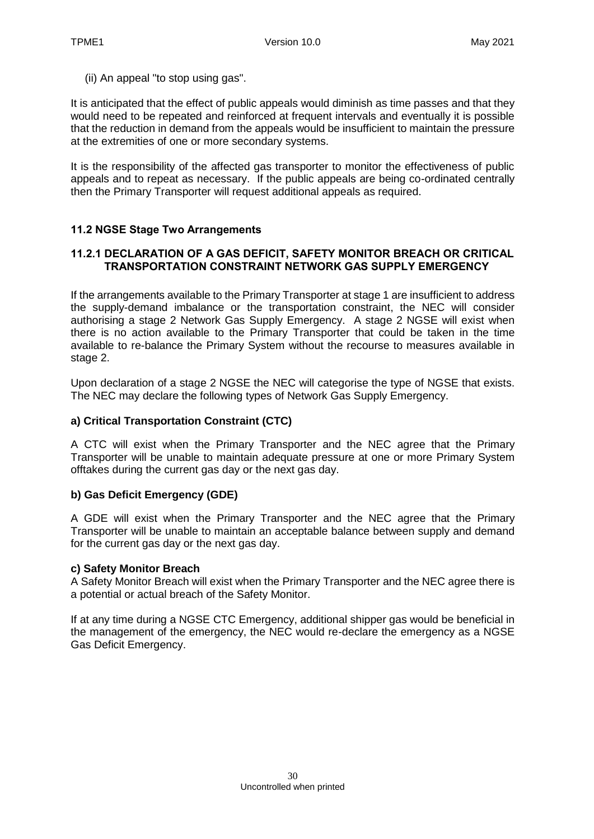(ii) An appeal "to stop using gas".

It is anticipated that the effect of public appeals would diminish as time passes and that they would need to be repeated and reinforced at frequent intervals and eventually it is possible that the reduction in demand from the appeals would be insufficient to maintain the pressure at the extremities of one or more secondary systems.

It is the responsibility of the affected gas transporter to monitor the effectiveness of public appeals and to repeat as necessary. If the public appeals are being co-ordinated centrally then the Primary Transporter will request additional appeals as required.

#### <span id="page-29-0"></span>**11.2 NGSE Stage Two Arrangements**

#### **11.2.1 DECLARATION OF A GAS DEFICIT, SAFETY MONITOR BREACH OR CRITICAL TRANSPORTATION CONSTRAINT NETWORK GAS SUPPLY EMERGENCY**

If the arrangements available to the Primary Transporter at stage 1 are insufficient to address the supply-demand imbalance or the transportation constraint, the NEC will consider authorising a stage 2 Network Gas Supply Emergency. A stage 2 NGSE will exist when there is no action available to the Primary Transporter that could be taken in the time available to re-balance the Primary System without the recourse to measures available in stage 2.

Upon declaration of a stage 2 NGSE the NEC will categorise the type of NGSE that exists. The NEC may declare the following types of Network Gas Supply Emergency.

#### **a) Critical Transportation Constraint (CTC)**

A CTC will exist when the Primary Transporter and the NEC agree that the Primary Transporter will be unable to maintain adequate pressure at one or more Primary System offtakes during the current gas day or the next gas day.

#### **b) Gas Deficit Emergency (GDE)**

A GDE will exist when the Primary Transporter and the NEC agree that the Primary Transporter will be unable to maintain an acceptable balance between supply and demand for the current gas day or the next gas day.

#### **c) Safety Monitor Breach**

A Safety Monitor Breach will exist when the Primary Transporter and the NEC agree there is a potential or actual breach of the Safety Monitor.

If at any time during a NGSE CTC Emergency, additional shipper gas would be beneficial in the management of the emergency, the NEC would re-declare the emergency as a NGSE Gas Deficit Emergency.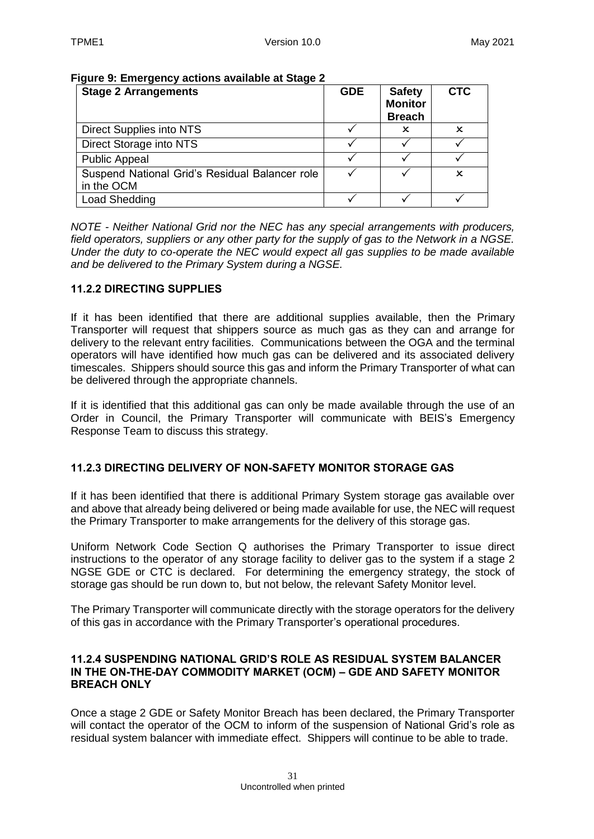| <b>Stage 2 Arrangements</b>                                  | <b>GDE</b> | <b>Safety</b><br><b>Monitor</b><br><b>Breach</b> | <b>CTC</b> |
|--------------------------------------------------------------|------------|--------------------------------------------------|------------|
| Direct Supplies into NTS                                     |            | x                                                |            |
| Direct Storage into NTS                                      |            |                                                  |            |
| <b>Public Appeal</b>                                         |            |                                                  |            |
| Suspend National Grid's Residual Balancer role<br>in the OCM |            |                                                  | x          |
| Load Shedding                                                |            |                                                  |            |

#### **Figure 9: Emergency actions available at Stage 2**

*NOTE - Neither National Grid nor the NEC has any special arrangements with producers, field operators, suppliers or any other party for the supply of gas to the Network in a NGSE. Under the duty to co-operate the NEC would expect all gas supplies to be made available and be delivered to the Primary System during a NGSE.*

#### **11.2.2 DIRECTING SUPPLIES**

If it has been identified that there are additional supplies available, then the Primary Transporter will request that shippers source as much gas as they can and arrange for delivery to the relevant entry facilities. Communications between the OGA and the terminal operators will have identified how much gas can be delivered and its associated delivery timescales. Shippers should source this gas and inform the Primary Transporter of what can be delivered through the appropriate channels.

If it is identified that this additional gas can only be made available through the use of an Order in Council, the Primary Transporter will communicate with BEIS's Emergency Response Team to discuss this strategy.

### **11.2.3 DIRECTING DELIVERY OF NON-SAFETY MONITOR STORAGE GAS**

If it has been identified that there is additional Primary System storage gas available over and above that already being delivered or being made available for use, the NEC will request the Primary Transporter to make arrangements for the delivery of this storage gas.

Uniform Network Code Section Q authorises the Primary Transporter to issue direct instructions to the operator of any storage facility to deliver gas to the system if a stage 2 NGSE GDE or CTC is declared. For determining the emergency strategy, the stock of storage gas should be run down to, but not below, the relevant Safety Monitor level.

The Primary Transporter will communicate directly with the storage operators for the delivery of this gas in accordance with the Primary Transporter's operational procedures.

#### **11.2.4 SUSPENDING NATIONAL GRID'S ROLE AS RESIDUAL SYSTEM BALANCER IN THE ON-THE-DAY COMMODITY MARKET (OCM) – GDE AND SAFETY MONITOR BREACH ONLY**

Once a stage 2 GDE or Safety Monitor Breach has been declared, the Primary Transporter will contact the operator of the OCM to inform of the suspension of National Grid's role as residual system balancer with immediate effect. Shippers will continue to be able to trade.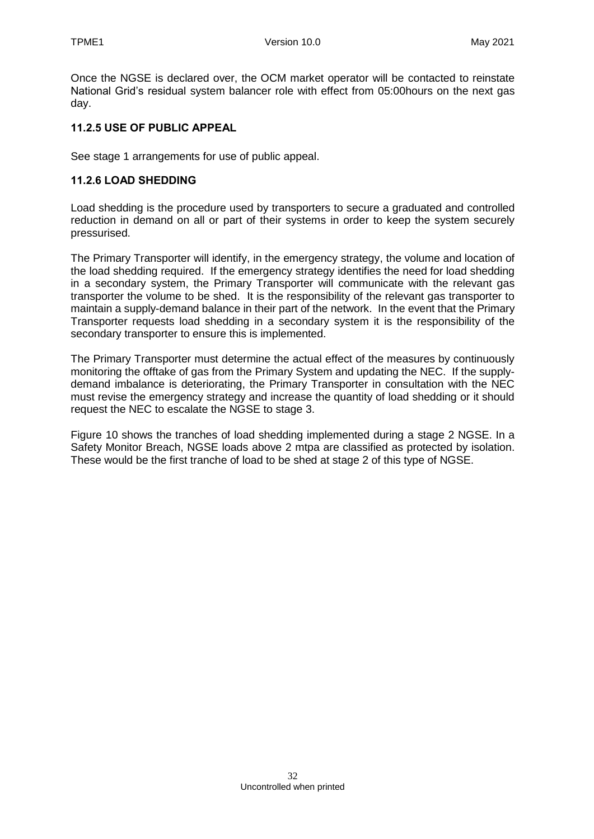Once the NGSE is declared over, the OCM market operator will be contacted to reinstate National Grid's residual system balancer role with effect from 05:00hours on the next gas day.

#### **11.2.5 USE OF PUBLIC APPEAL**

See stage 1 arrangements for use of public appeal.

#### **11.2.6 LOAD SHEDDING**

Load shedding is the procedure used by transporters to secure a graduated and controlled reduction in demand on all or part of their systems in order to keep the system securely pressurised.

The Primary Transporter will identify, in the emergency strategy, the volume and location of the load shedding required. If the emergency strategy identifies the need for load shedding in a secondary system, the Primary Transporter will communicate with the relevant gas transporter the volume to be shed. It is the responsibility of the relevant gas transporter to maintain a supply-demand balance in their part of the network. In the event that the Primary Transporter requests load shedding in a secondary system it is the responsibility of the secondary transporter to ensure this is implemented.

The Primary Transporter must determine the actual effect of the measures by continuously monitoring the offtake of gas from the Primary System and updating the NEC. If the supplydemand imbalance is deteriorating, the Primary Transporter in consultation with the NEC must revise the emergency strategy and increase the quantity of load shedding or it should request the NEC to escalate the NGSE to stage 3.

Figure 10 shows the tranches of load shedding implemented during a stage 2 NGSE. In a Safety Monitor Breach, NGSE loads above 2 mtpa are classified as protected by isolation. These would be the first tranche of load to be shed at stage 2 of this type of NGSE.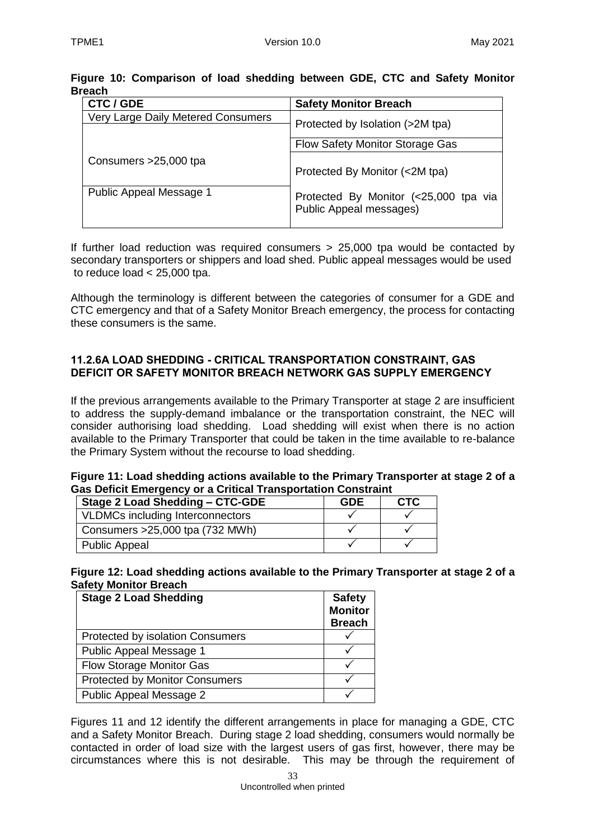| <b>CTC / GDE</b>                   | <b>Safety Monitor Breach</b>                                            |
|------------------------------------|-------------------------------------------------------------------------|
| Very Large Daily Metered Consumers | Protected by Isolation (>2M tpa)                                        |
|                                    | Flow Safety Monitor Storage Gas                                         |
| Consumers > 25,000 tpa             | Protected By Monitor (<2M tpa)                                          |
| Public Appeal Message 1            | Protected By Monitor (<25,000 tpa via<br><b>Public Appeal messages)</b> |

### **Figure 10: Comparison of load shedding between GDE, CTC and Safety Monitor Breach**

If further load reduction was required consumers > 25,000 tpa would be contacted by secondary transporters or shippers and load shed. Public appeal messages would be used to reduce load  $<$  25,000 tpa.

Although the terminology is different between the categories of consumer for a GDE and CTC emergency and that of a Safety Monitor Breach emergency, the process for contacting these consumers is the same.

#### **11.2.6A LOAD SHEDDING - CRITICAL TRANSPORTATION CONSTRAINT, GAS DEFICIT OR SAFETY MONITOR BREACH NETWORK GAS SUPPLY EMERGENCY**

If the previous arrangements available to the Primary Transporter at stage 2 are insufficient to address the supply-demand imbalance or the transportation constraint, the NEC will consider authorising load shedding. Load shedding will exist when there is no action available to the Primary Transporter that could be taken in the time available to re-balance the Primary System without the recourse to load shedding.

#### **Figure 11: Load shedding actions available to the Primary Transporter at stage 2 of a Gas Deficit Emergency or a Critical Transportation Constraint**

| Stage 2 Load Shedding - CTC-GDE  | <b>GDE</b> | <b>CTC</b> |
|----------------------------------|------------|------------|
| VLDMCs including Interconnectors |            |            |
| Consumers > 25,000 tpa (732 MWh) |            |            |
| <b>Public Appeal</b>             |            |            |

**Figure 12: Load shedding actions available to the Primary Transporter at stage 2 of a Safety Monitor Breach**

| <b>Stage 2 Load Shedding</b>            | <b>Safety</b><br><b>Monitor</b><br><b>Breach</b> |
|-----------------------------------------|--------------------------------------------------|
| <b>Protected by isolation Consumers</b> |                                                  |
| Public Appeal Message 1                 |                                                  |
| <b>Flow Storage Monitor Gas</b>         |                                                  |
| <b>Protected by Monitor Consumers</b>   |                                                  |
| Public Appeal Message 2                 |                                                  |

Figures 11 and 12 identify the different arrangements in place for managing a GDE, CTC and a Safety Monitor Breach. During stage 2 load shedding, consumers would normally be contacted in order of load size with the largest users of gas first, however, there may be circumstances where this is not desirable. This may be through the requirement of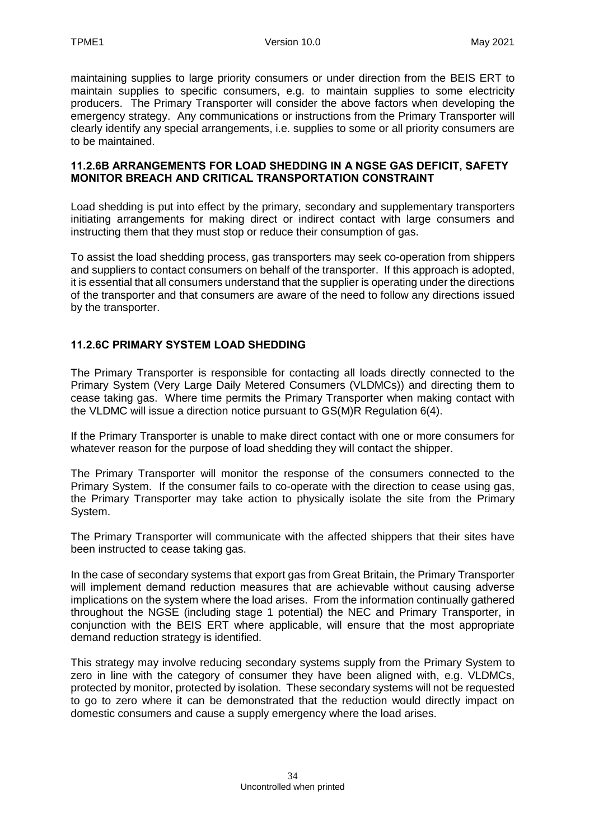maintaining supplies to large priority consumers or under direction from the BEIS ERT to maintain supplies to specific consumers, e.g. to maintain supplies to some electricity producers. The Primary Transporter will consider the above factors when developing the emergency strategy. Any communications or instructions from the Primary Transporter will clearly identify any special arrangements, i.e. supplies to some or all priority consumers are to be maintained.

#### **11.2.6B ARRANGEMENTS FOR LOAD SHEDDING IN A NGSE GAS DEFICIT, SAFETY MONITOR BREACH AND CRITICAL TRANSPORTATION CONSTRAINT**

Load shedding is put into effect by the primary, secondary and supplementary transporters initiating arrangements for making direct or indirect contact with large consumers and instructing them that they must stop or reduce their consumption of gas.

To assist the load shedding process, gas transporters may seek co-operation from shippers and suppliers to contact consumers on behalf of the transporter. If this approach is adopted, it is essential that all consumers understand that the supplier is operating under the directions of the transporter and that consumers are aware of the need to follow any directions issued by the transporter.

### **11.2.6C PRIMARY SYSTEM LOAD SHEDDING**

The Primary Transporter is responsible for contacting all loads directly connected to the Primary System (Very Large Daily Metered Consumers (VLDMCs)) and directing them to cease taking gas. Where time permits the Primary Transporter when making contact with the VLDMC will issue a direction notice pursuant to GS(M)R Regulation 6(4).

If the Primary Transporter is unable to make direct contact with one or more consumers for whatever reason for the purpose of load shedding they will contact the shipper.

The Primary Transporter will monitor the response of the consumers connected to the Primary System. If the consumer fails to co-operate with the direction to cease using gas, the Primary Transporter may take action to physically isolate the site from the Primary System.

The Primary Transporter will communicate with the affected shippers that their sites have been instructed to cease taking gas.

In the case of secondary systems that export gas from Great Britain, the Primary Transporter will implement demand reduction measures that are achievable without causing adverse implications on the system where the load arises. From the information continually gathered throughout the NGSE (including stage 1 potential) the NEC and Primary Transporter, in conjunction with the BEIS ERT where applicable, will ensure that the most appropriate demand reduction strategy is identified.

This strategy may involve reducing secondary systems supply from the Primary System to zero in line with the category of consumer they have been aligned with, e.g. VLDMCs, protected by monitor, protected by isolation. These secondary systems will not be requested to go to zero where it can be demonstrated that the reduction would directly impact on domestic consumers and cause a supply emergency where the load arises.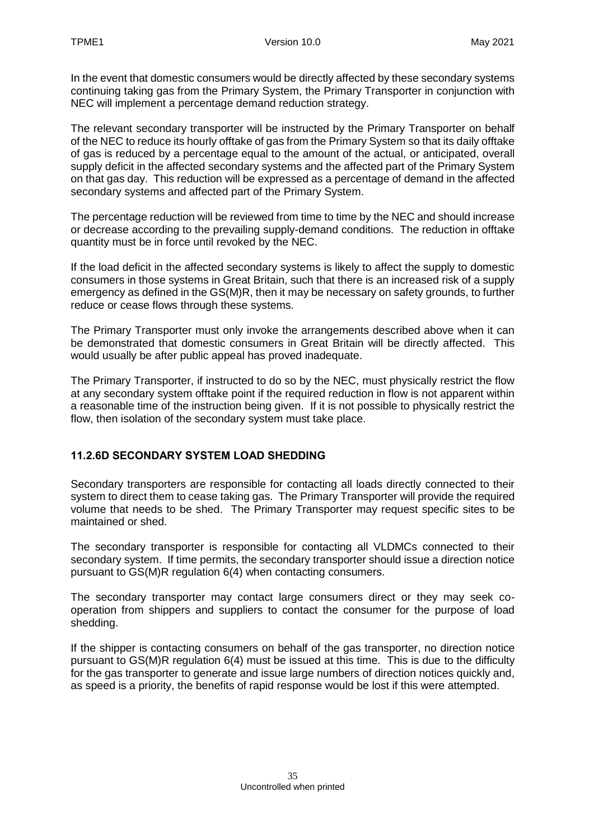In the event that domestic consumers would be directly affected by these secondary systems continuing taking gas from the Primary System, the Primary Transporter in conjunction with NEC will implement a percentage demand reduction strategy.

The relevant secondary transporter will be instructed by the Primary Transporter on behalf of the NEC to reduce its hourly offtake of gas from the Primary System so that its daily offtake of gas is reduced by a percentage equal to the amount of the actual, or anticipated, overall supply deficit in the affected secondary systems and the affected part of the Primary System on that gas day. This reduction will be expressed as a percentage of demand in the affected secondary systems and affected part of the Primary System.

The percentage reduction will be reviewed from time to time by the NEC and should increase or decrease according to the prevailing supply-demand conditions. The reduction in offtake quantity must be in force until revoked by the NEC.

If the load deficit in the affected secondary systems is likely to affect the supply to domestic consumers in those systems in Great Britain, such that there is an increased risk of a supply emergency as defined in the GS(M)R, then it may be necessary on safety grounds, to further reduce or cease flows through these systems.

The Primary Transporter must only invoke the arrangements described above when it can be demonstrated that domestic consumers in Great Britain will be directly affected. This would usually be after public appeal has proved inadequate.

The Primary Transporter, if instructed to do so by the NEC, must physically restrict the flow at any secondary system offtake point if the required reduction in flow is not apparent within a reasonable time of the instruction being given. If it is not possible to physically restrict the flow, then isolation of the secondary system must take place.

### **11.2.6D SECONDARY SYSTEM LOAD SHEDDING**

Secondary transporters are responsible for contacting all loads directly connected to their system to direct them to cease taking gas. The Primary Transporter will provide the required volume that needs to be shed. The Primary Transporter may request specific sites to be maintained or shed.

The secondary transporter is responsible for contacting all VLDMCs connected to their secondary system. If time permits, the secondary transporter should issue a direction notice pursuant to GS(M)R regulation 6(4) when contacting consumers.

The secondary transporter may contact large consumers direct or they may seek cooperation from shippers and suppliers to contact the consumer for the purpose of load shedding.

If the shipper is contacting consumers on behalf of the gas transporter, no direction notice pursuant to GS(M)R regulation 6(4) must be issued at this time. This is due to the difficulty for the gas transporter to generate and issue large numbers of direction notices quickly and, as speed is a priority, the benefits of rapid response would be lost if this were attempted.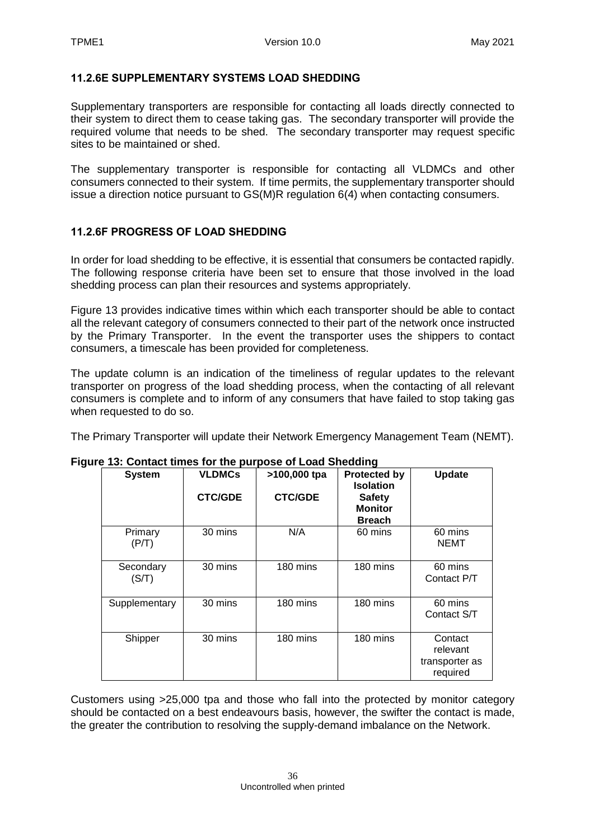#### **11.2.6E SUPPLEMENTARY SYSTEMS LOAD SHEDDING**

Supplementary transporters are responsible for contacting all loads directly connected to their system to direct them to cease taking gas. The secondary transporter will provide the required volume that needs to be shed. The secondary transporter may request specific sites to be maintained or shed.

The supplementary transporter is responsible for contacting all VLDMCs and other consumers connected to their system. If time permits, the supplementary transporter should issue a direction notice pursuant to GS(M)R regulation 6(4) when contacting consumers.

#### **11.2.6F PROGRESS OF LOAD SHEDDING**

In order for load shedding to be effective, it is essential that consumers be contacted rapidly. The following response criteria have been set to ensure that those involved in the load shedding process can plan their resources and systems appropriately.

Figure 13 provides indicative times within which each transporter should be able to contact all the relevant category of consumers connected to their part of the network once instructed by the Primary Transporter. In the event the transporter uses the shippers to contact consumers, a timescale has been provided for completeness.

The update column is an indication of the timeliness of regular updates to the relevant transporter on progress of the load shedding process, when the contacting of all relevant consumers is complete and to inform of any consumers that have failed to stop taking gas when requested to do so.

The Primary Transporter will update their Network Emergency Management Team (NEMT).

| <b>System</b>      | <b>VLDMCs</b><br><b>CTC/GDE</b> | >100,000 tpa<br><b>CTC/GDE</b> | <b>Protected by</b><br><b>Isolation</b><br><b>Safety</b><br><b>Monitor</b><br><b>Breach</b> | <b>Update</b>                                     |
|--------------------|---------------------------------|--------------------------------|---------------------------------------------------------------------------------------------|---------------------------------------------------|
| Primary<br>(P/T)   | 30 mins                         | N/A                            | 60 mins                                                                                     | 60 mins<br><b>NEMT</b>                            |
| Secondary<br>(S/T) | 30 mins                         | 180 mins                       | 180 mins                                                                                    | 60 mins<br>Contact P/T                            |
| Supplementary      | 30 mins                         | 180 mins                       | 180 mins                                                                                    | 60 mins<br>Contact S/T                            |
| Shipper            | 30 mins                         | 180 mins                       | 180 mins                                                                                    | Contact<br>relevant<br>transporter as<br>required |

#### **Figure 13: Contact times for the purpose of Load Shedding**

Customers using >25,000 tpa and those who fall into the protected by monitor category should be contacted on a best endeavours basis, however, the swifter the contact is made, the greater the contribution to resolving the supply-demand imbalance on the Network.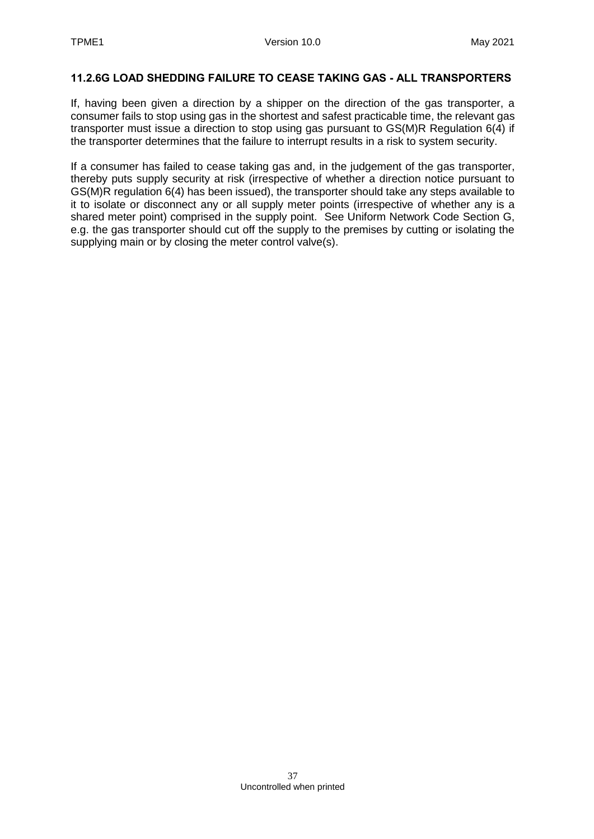#### **11.2.6G LOAD SHEDDING FAILURE TO CEASE TAKING GAS - ALL TRANSPORTERS**

If, having been given a direction by a shipper on the direction of the gas transporter, a consumer fails to stop using gas in the shortest and safest practicable time, the relevant gas transporter must issue a direction to stop using gas pursuant to GS(M)R Regulation 6(4) if the transporter determines that the failure to interrupt results in a risk to system security.

If a consumer has failed to cease taking gas and, in the judgement of the gas transporter, thereby puts supply security at risk (irrespective of whether a direction notice pursuant to GS(M)R regulation 6(4) has been issued), the transporter should take any steps available to it to isolate or disconnect any or all supply meter points (irrespective of whether any is a shared meter point) comprised in the supply point. See Uniform Network Code Section G, e.g. the gas transporter should cut off the supply to the premises by cutting or isolating the supplying main or by closing the meter control valve(s).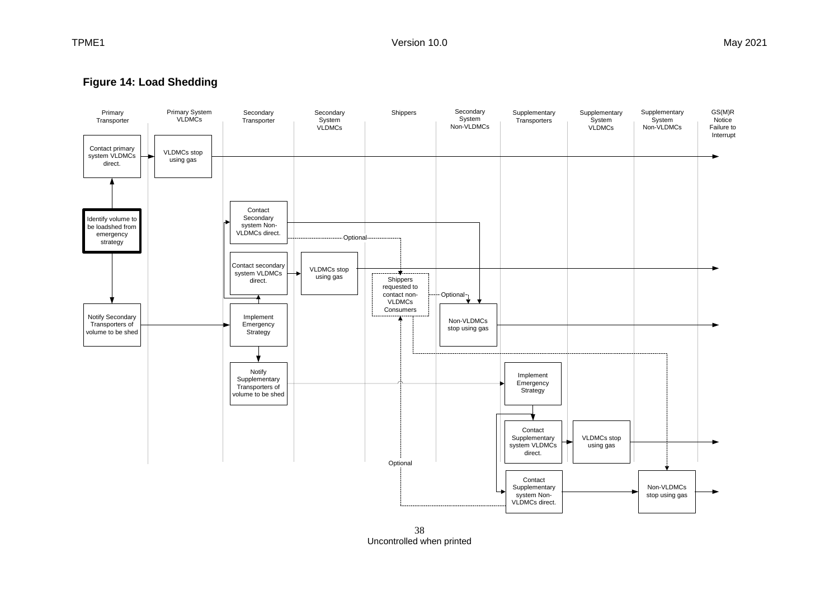### **Figure 18 Firm Load Shedding Figure 14: Load Shedding**



38 Uncontrolled when printed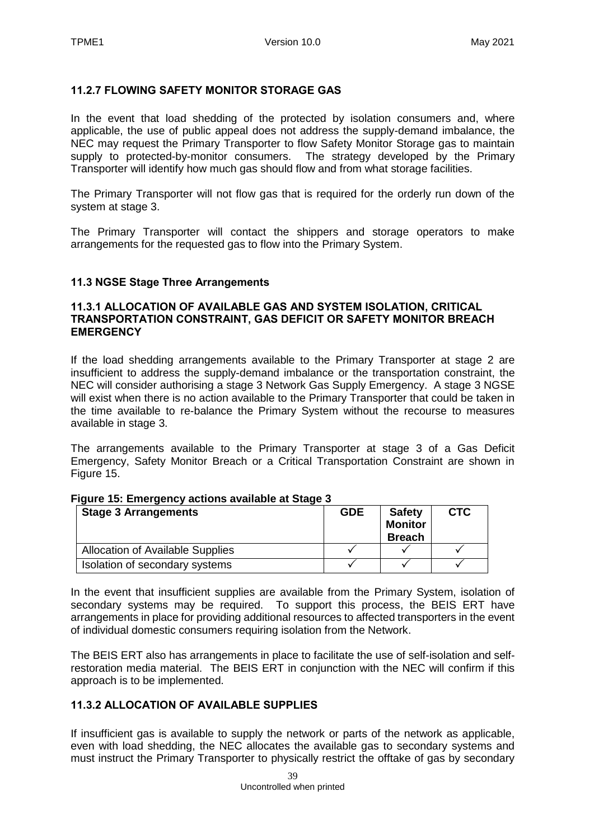#### **11.2.7 FLOWING SAFETY MONITOR STORAGE GAS**

In the event that load shedding of the protected by isolation consumers and, where applicable, the use of public appeal does not address the supply-demand imbalance, the NEC may request the Primary Transporter to flow Safety Monitor Storage gas to maintain supply to protected-by-monitor consumers. The strategy developed by the Primary Transporter will identify how much gas should flow and from what storage facilities.

The Primary Transporter will not flow gas that is required for the orderly run down of the system at stage 3.

The Primary Transporter will contact the shippers and storage operators to make arrangements for the requested gas to flow into the Primary System.

#### <span id="page-38-0"></span>**11.3 NGSE Stage Three Arrangements**

#### **11.3.1 ALLOCATION OF AVAILABLE GAS AND SYSTEM ISOLATION, CRITICAL TRANSPORTATION CONSTRAINT, GAS DEFICIT OR SAFETY MONITOR BREACH EMERGENCY**

If the load shedding arrangements available to the Primary Transporter at stage 2 are insufficient to address the supply-demand imbalance or the transportation constraint, the NEC will consider authorising a stage 3 Network Gas Supply Emergency. A stage 3 NGSE will exist when there is no action available to the Primary Transporter that could be taken in the time available to re-balance the Primary System without the recourse to measures available in stage 3.

The arrangements available to the Primary Transporter at stage 3 of a Gas Deficit Emergency, Safety Monitor Breach or a Critical Transportation Constraint are shown in Figure 15.

| <b>Stage 3 Arrangements</b>             | <b>GDE</b> | <b>Safety</b><br><b>Monitor</b><br><b>Breach</b> | <b>CTC</b> |
|-----------------------------------------|------------|--------------------------------------------------|------------|
| <b>Allocation of Available Supplies</b> |            |                                                  |            |
| Isolation of secondary systems          |            |                                                  |            |

#### **Figure 15: Emergency actions available at Stage 3**

In the event that insufficient supplies are available from the Primary System, isolation of secondary systems may be required. To support this process, the BEIS ERT have arrangements in place for providing additional resources to affected transporters in the event of individual domestic consumers requiring isolation from the Network.

The BEIS ERT also has arrangements in place to facilitate the use of self-isolation and selfrestoration media material. The BEIS ERT in conjunction with the NEC will confirm if this approach is to be implemented.

### **11.3.2 ALLOCATION OF AVAILABLE SUPPLIES**

If insufficient gas is available to supply the network or parts of the network as applicable, even with load shedding, the NEC allocates the available gas to secondary systems and must instruct the Primary Transporter to physically restrict the offtake of gas by secondary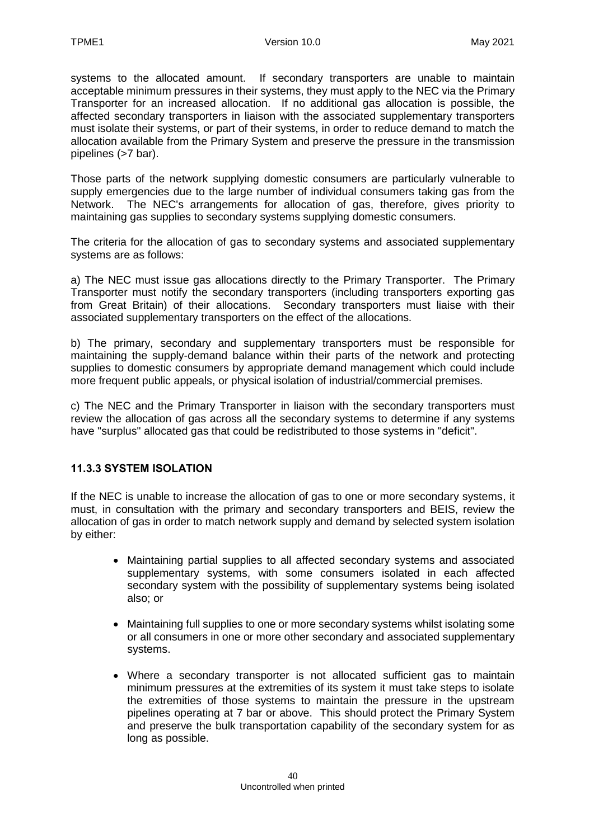systems to the allocated amount. If secondary transporters are unable to maintain acceptable minimum pressures in their systems, they must apply to the NEC via the Primary Transporter for an increased allocation. If no additional gas allocation is possible, the affected secondary transporters in liaison with the associated supplementary transporters must isolate their systems, or part of their systems, in order to reduce demand to match the allocation available from the Primary System and preserve the pressure in the transmission pipelines (>7 bar).

Those parts of the network supplying domestic consumers are particularly vulnerable to supply emergencies due to the large number of individual consumers taking gas from the Network. The NEC's arrangements for allocation of gas, therefore, gives priority to maintaining gas supplies to secondary systems supplying domestic consumers.

The criteria for the allocation of gas to secondary systems and associated supplementary systems are as follows:

a) The NEC must issue gas allocations directly to the Primary Transporter. The Primary Transporter must notify the secondary transporters (including transporters exporting gas from Great Britain) of their allocations. Secondary transporters must liaise with their associated supplementary transporters on the effect of the allocations.

b) The primary, secondary and supplementary transporters must be responsible for maintaining the supply-demand balance within their parts of the network and protecting supplies to domestic consumers by appropriate demand management which could include more frequent public appeals, or physical isolation of industrial/commercial premises.

c) The NEC and the Primary Transporter in liaison with the secondary transporters must review the allocation of gas across all the secondary systems to determine if any systems have "surplus" allocated gas that could be redistributed to those systems in "deficit".

### **11.3.3 SYSTEM ISOLATION**

If the NEC is unable to increase the allocation of gas to one or more secondary systems, it must, in consultation with the primary and secondary transporters and BEIS, review the allocation of gas in order to match network supply and demand by selected system isolation by either:

- Maintaining partial supplies to all affected secondary systems and associated supplementary systems, with some consumers isolated in each affected secondary system with the possibility of supplementary systems being isolated also; or
- Maintaining full supplies to one or more secondary systems whilst isolating some or all consumers in one or more other secondary and associated supplementary systems.
- Where a secondary transporter is not allocated sufficient gas to maintain minimum pressures at the extremities of its system it must take steps to isolate the extremities of those systems to maintain the pressure in the upstream pipelines operating at 7 bar or above. This should protect the Primary System and preserve the bulk transportation capability of the secondary system for as long as possible.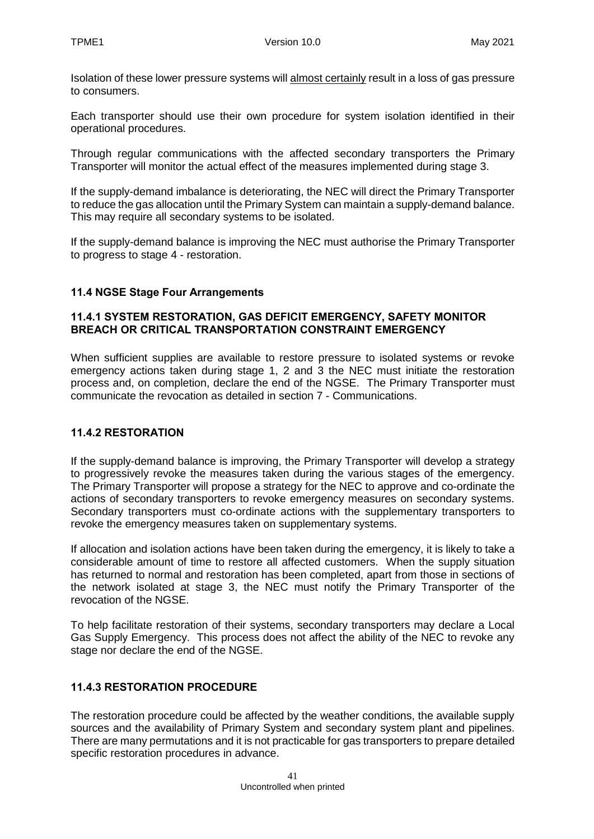Isolation of these lower pressure systems will almost certainly result in a loss of gas pressure to consumers.

Each transporter should use their own procedure for system isolation identified in their operational procedures.

Through regular communications with the affected secondary transporters the Primary Transporter will monitor the actual effect of the measures implemented during stage 3.

If the supply-demand imbalance is deteriorating, the NEC will direct the Primary Transporter to reduce the gas allocation until the Primary System can maintain a supply-demand balance. This may require all secondary systems to be isolated.

If the supply-demand balance is improving the NEC must authorise the Primary Transporter to progress to stage 4 - restoration.

#### <span id="page-40-0"></span>**11.4 NGSE Stage Four Arrangements**

#### **11.4.1 SYSTEM RESTORATION, GAS DEFICIT EMERGENCY, SAFETY MONITOR BREACH OR CRITICAL TRANSPORTATION CONSTRAINT EMERGENCY**

When sufficient supplies are available to restore pressure to isolated systems or revoke emergency actions taken during stage 1, 2 and 3 the NEC must initiate the restoration process and, on completion, declare the end of the NGSE. The Primary Transporter must communicate the revocation as detailed in section [7](#page-18-0) - [Communications.](#page-18-0)

### **11.4.2 RESTORATION**

If the supply-demand balance is improving, the Primary Transporter will develop a strategy to progressively revoke the measures taken during the various stages of the emergency. The Primary Transporter will propose a strategy for the NEC to approve and co-ordinate the actions of secondary transporters to revoke emergency measures on secondary systems. Secondary transporters must co-ordinate actions with the supplementary transporters to revoke the emergency measures taken on supplementary systems.

If allocation and isolation actions have been taken during the emergency, it is likely to take a considerable amount of time to restore all affected customers. When the supply situation has returned to normal and restoration has been completed, apart from those in sections of the network isolated at stage 3, the NEC must notify the Primary Transporter of the revocation of the NGSE.

To help facilitate restoration of their systems, secondary transporters may declare a Local Gas Supply Emergency. This process does not affect the ability of the NEC to revoke any stage nor declare the end of the NGSE.

### **11.4.3 RESTORATION PROCEDURE**

The restoration procedure could be affected by the weather conditions, the available supply sources and the availability of Primary System and secondary system plant and pipelines. There are many permutations and it is not practicable for gas transporters to prepare detailed specific restoration procedures in advance.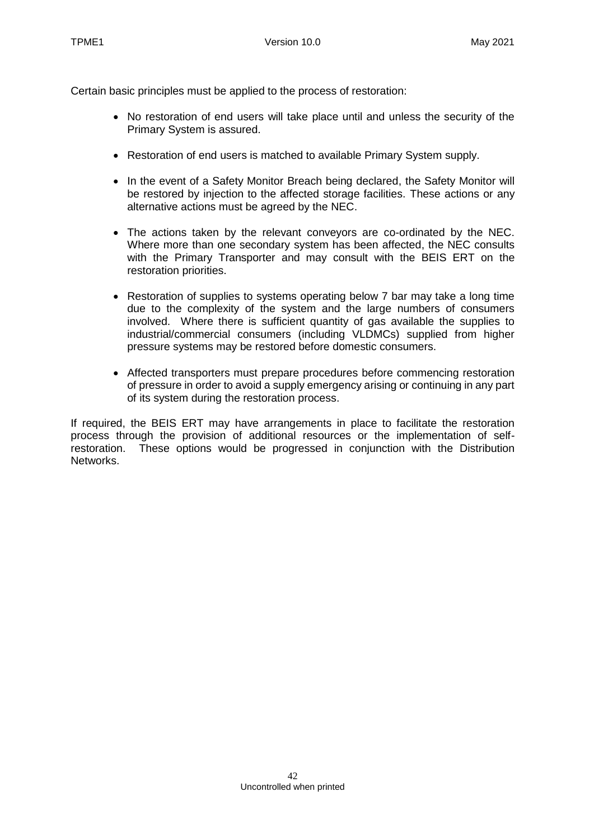Certain basic principles must be applied to the process of restoration:

- No restoration of end users will take place until and unless the security of the Primary System is assured.
- Restoration of end users is matched to available Primary System supply.
- In the event of a Safety Monitor Breach being declared, the Safety Monitor will be restored by injection to the affected storage facilities. These actions or any alternative actions must be agreed by the NEC.
- The actions taken by the relevant conveyors are co-ordinated by the NEC. Where more than one secondary system has been affected, the NEC consults with the Primary Transporter and may consult with the BEIS ERT on the restoration priorities.
- Restoration of supplies to systems operating below 7 bar may take a long time due to the complexity of the system and the large numbers of consumers involved. Where there is sufficient quantity of gas available the supplies to industrial/commercial consumers (including VLDMCs) supplied from higher pressure systems may be restored before domestic consumers.
- Affected transporters must prepare procedures before commencing restoration of pressure in order to avoid a supply emergency arising or continuing in any part of its system during the restoration process.

If required, the BEIS ERT may have arrangements in place to facilitate the restoration process through the provision of additional resources or the implementation of selfrestoration. These options would be progressed in conjunction with the Distribution Networks.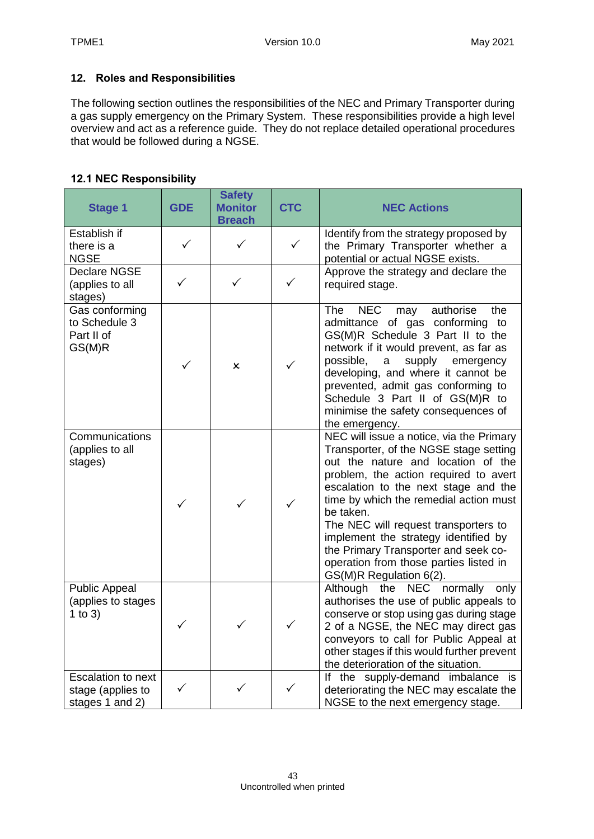### <span id="page-42-0"></span>**12. Roles and Responsibilities**

The following section outlines the responsibilities of the NEC and Primary Transporter during a gas supply emergency on the Primary System. These responsibilities provide a high level overview and act as a reference guide. They do not replace detailed operational procedures that would be followed during a NGSE.

### <span id="page-42-1"></span>**12.1 NEC Responsibility**

| <b>Stage 1</b>                                                    | <b>GDE</b>   | <b>Safety</b><br><b>Monitor</b><br><b>Breach</b> | <b>CTC</b>   | <b>NEC Actions</b>                                                                                                                                                                                                                                                                                                                                                                                                                                            |
|-------------------------------------------------------------------|--------------|--------------------------------------------------|--------------|---------------------------------------------------------------------------------------------------------------------------------------------------------------------------------------------------------------------------------------------------------------------------------------------------------------------------------------------------------------------------------------------------------------------------------------------------------------|
| Establish if<br>there is a<br><b>NGSE</b>                         | $\checkmark$ | ✓                                                | $\checkmark$ | Identify from the strategy proposed by<br>the Primary Transporter whether a<br>potential or actual NGSE exists.                                                                                                                                                                                                                                                                                                                                               |
| <b>Declare NGSE</b><br>(applies to all<br>stages)                 | ✓            | ✓                                                | $\checkmark$ | Approve the strategy and declare the<br>required stage.                                                                                                                                                                                                                                                                                                                                                                                                       |
| Gas conforming<br>to Schedule 3<br>Part II of<br>GS(M)R           |              | x                                                | $\checkmark$ | <b>The</b><br><b>NEC</b><br>authorise<br>the<br>may<br>admittance of gas conforming<br>to<br>GS(M)R Schedule 3 Part II to the<br>network if it would prevent, as far as<br>possible,<br>supply<br>emergency<br>a<br>developing, and where it cannot be<br>prevented, admit gas conforming to<br>Schedule 3 Part II of GS(M)R to<br>minimise the safety consequences of<br>the emergency.                                                                      |
| Communications<br>(applies to all<br>stages)                      | ✓            | $\checkmark$                                     | $\checkmark$ | NEC will issue a notice, via the Primary<br>Transporter, of the NGSE stage setting<br>out the nature and location of the<br>problem, the action required to avert<br>escalation to the next stage and the<br>time by which the remedial action must<br>be taken.<br>The NEC will request transporters to<br>implement the strategy identified by<br>the Primary Transporter and seek co-<br>operation from those parties listed in<br>GS(M)R Regulation 6(2). |
| <b>Public Appeal</b><br>(applies to stages<br>1 to $3)$           |              | ✓                                                | $\checkmark$ | Although the NEC normally<br>only<br>authorises the use of public appeals to<br>conserve or stop using gas during stage<br>2 of a NGSE, the NEC may direct gas<br>conveyors to call for Public Appeal at<br>other stages if this would further prevent<br>the deterioration of the situation.                                                                                                                                                                 |
| <b>Escalation to next</b><br>stage (applies to<br>stages 1 and 2) |              |                                                  |              | If the supply-demand imbalance is<br>deteriorating the NEC may escalate the<br>NGSE to the next emergency stage.                                                                                                                                                                                                                                                                                                                                              |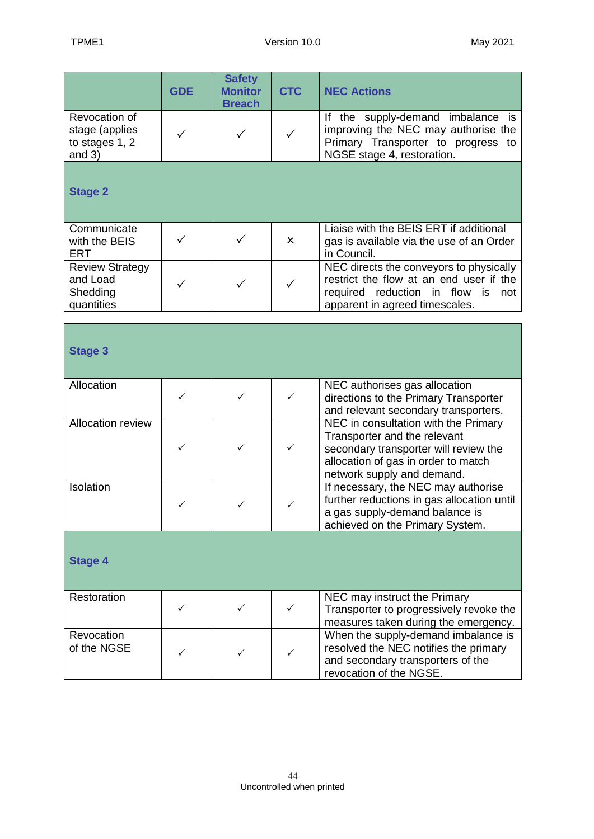|                                                               | <b>GDE</b>   | <b>Safety</b><br><b>Monitor</b><br><b>Breach</b> | <b>CTC</b>                | <b>NEC Actions</b>                                                                                                                                                                 |
|---------------------------------------------------------------|--------------|--------------------------------------------------|---------------------------|------------------------------------------------------------------------------------------------------------------------------------------------------------------------------------|
| Revocation of<br>stage (applies<br>to stages 1, 2<br>and $3)$ |              | ✓                                                | ✓                         | If the supply-demand imbalance is<br>improving the NEC may authorise the<br>Primary Transporter to progress to<br>NGSE stage 4, restoration.                                       |
| <b>Stage 2</b>                                                |              |                                                  |                           |                                                                                                                                                                                    |
| Communicate<br>with the BEIS<br><b>ERT</b>                    |              | ✓                                                | $\boldsymbol{\mathsf{x}}$ | Liaise with the BEIS ERT if additional<br>gas is available via the use of an Order<br>in Council.                                                                                  |
| <b>Review Strategy</b><br>and Load<br>Shedding<br>quantities  |              | ✓                                                | $\checkmark$              | NEC directs the conveyors to physically<br>restrict the flow at an end user if the<br>required reduction in flow is<br>not<br>apparent in agreed timescales.                       |
| <b>Stage 3</b>                                                |              |                                                  |                           |                                                                                                                                                                                    |
| Allocation                                                    | $\checkmark$ | ✓                                                | ✓                         | NEC authorises gas allocation<br>directions to the Primary Transporter<br>and relevant secondary transporters.                                                                     |
| Allocation review                                             | ✓            | ✓                                                | $\checkmark$              | NEC in consultation with the Primary<br>Transporter and the relevant<br>secondary transporter will review the<br>allocation of gas in order to match<br>network supply and demand. |
| Isolation                                                     | $\checkmark$ | ✓                                                | $\checkmark$              | If necessary, the NEC may authorise<br>further reductions in gas allocation until<br>a gas supply-demand balance is<br>achieved on the Primary System.                             |
| <b>Stage 4</b>                                                |              |                                                  |                           |                                                                                                                                                                                    |
| Restoration                                                   | ✓            | ✓                                                | ✓                         | NEC may instruct the Primary<br>Transporter to progressively revoke the<br>measures taken during the emergency.                                                                    |
| Revocation<br>of the NGSE                                     |              | ✓                                                |                           | When the supply-demand imbalance is<br>resolved the NEC notifies the primary<br>and secondary transporters of the<br>revocation of the NGSE.                                       |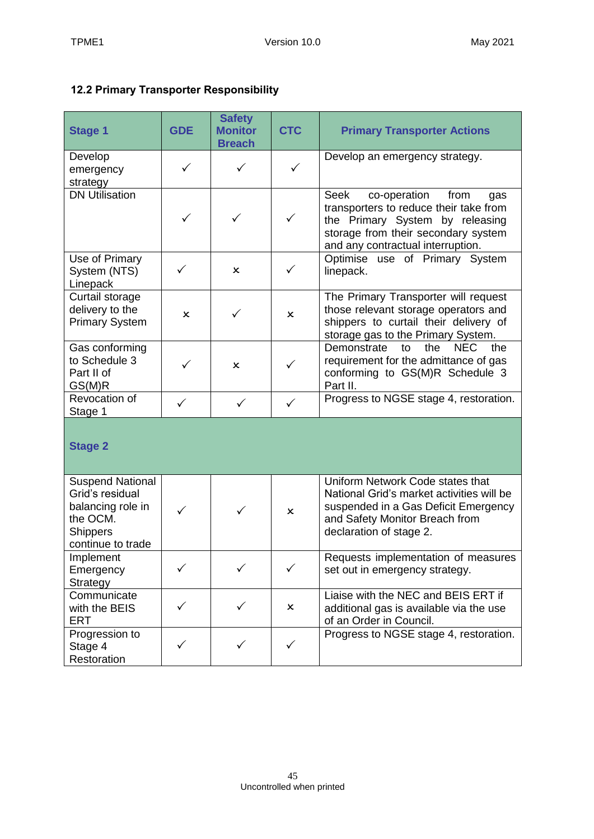# <span id="page-44-0"></span>**12.2 Primary Transporter Responsibility**

| <b>Stage 1</b>                                                                                                      | <b>GDE</b>   | <b>Safety</b><br><b>Monitor</b><br><b>Breach</b> | <b>CTC</b>                | <b>Primary Transporter Actions</b>                                                                                                                                                                  |
|---------------------------------------------------------------------------------------------------------------------|--------------|--------------------------------------------------|---------------------------|-----------------------------------------------------------------------------------------------------------------------------------------------------------------------------------------------------|
| Develop<br>emergency<br>strategy                                                                                    | ✓            | ✓                                                | $\checkmark$              | Develop an emergency strategy.                                                                                                                                                                      |
| <b>DN Utilisation</b>                                                                                               | $\checkmark$ | $\checkmark$                                     | $\checkmark$              | <b>Seek</b><br>co-operation<br>from<br>gas<br>transporters to reduce their take from<br>the Primary System by releasing<br>storage from their secondary system<br>and any contractual interruption. |
| Use of Primary<br>System (NTS)<br>Linepack                                                                          | ✓            | x                                                |                           | Optimise use of Primary System<br>linepack.                                                                                                                                                         |
| Curtail storage<br>delivery to the<br><b>Primary System</b>                                                         | ×            | ✓                                                | ×                         | The Primary Transporter will request<br>those relevant storage operators and<br>shippers to curtail their delivery of<br>storage gas to the Primary System.                                         |
| Gas conforming<br>to Schedule 3<br>Part II of<br>GS(M)R                                                             |              | ×                                                | $\checkmark$              | Demonstrate<br><b>NEC</b><br>the<br>to<br>the<br>requirement for the admittance of gas<br>conforming to GS(M)R Schedule 3<br>Part II.                                                               |
| Revocation of<br>Stage 1                                                                                            | $\checkmark$ | $\checkmark$                                     | $\checkmark$              | Progress to NGSE stage 4, restoration.                                                                                                                                                              |
| <b>Stage 2</b>                                                                                                      |              |                                                  |                           |                                                                                                                                                                                                     |
| <b>Suspend National</b><br>Grid's residual<br>balancing role in<br>the OCM.<br><b>Shippers</b><br>continue to trade | $\checkmark$ | $\checkmark$                                     | $\mathsf{x}$              | Uniform Network Code states that<br>National Grid's market activities will be<br>suspended in a Gas Deficit Emergency<br>and Safety Monitor Breach from<br>declaration of stage 2.                  |
| Implement<br>Emergency<br>Strategy                                                                                  | ✓            |                                                  |                           | Requests implementation of measures<br>set out in emergency strategy.                                                                                                                               |
| Communicate<br>with the BEIS<br><b>ERT</b>                                                                          | ✓            | ✓                                                | $\boldsymbol{\mathsf{x}}$ | Liaise with the NEC and BEIS ERT if<br>additional gas is available via the use<br>of an Order in Council.                                                                                           |
| Progression to<br>Stage 4<br>Restoration                                                                            | ✓            | ✓                                                | ✓                         | Progress to NGSE stage 4, restoration.                                                                                                                                                              |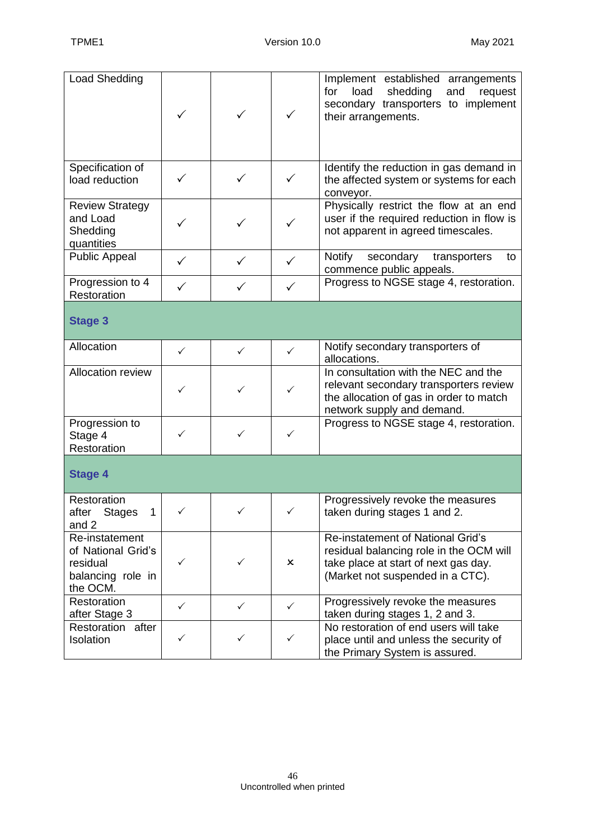| <b>Load Shedding</b>                                                              | ✓ | ✓            | $\checkmark$              | Implement established arrangements<br>load<br>shedding<br>for<br>and<br>request<br>secondary transporters to implement<br>their arrangements.            |
|-----------------------------------------------------------------------------------|---|--------------|---------------------------|----------------------------------------------------------------------------------------------------------------------------------------------------------|
| Specification of<br>load reduction                                                |   |              | ✓                         | Identify the reduction in gas demand in<br>the affected system or systems for each<br>conveyor.                                                          |
| <b>Review Strategy</b><br>and Load<br>Shedding<br>quantities                      |   |              | ✓                         | Physically restrict the flow at an end<br>user if the required reduction in flow is<br>not apparent in agreed timescales.                                |
| <b>Public Appeal</b>                                                              | ✓ | ✓            |                           | Notify<br>secondary<br>transporters<br>to<br>commence public appeals.                                                                                    |
| Progression to 4<br>Restoration                                                   | ✓ |              | $\checkmark$              | Progress to NGSE stage 4, restoration.                                                                                                                   |
| <b>Stage 3</b>                                                                    |   |              |                           |                                                                                                                                                          |
| Allocation                                                                        | ✓ | ✓            | ✓                         | Notify secondary transporters of<br>allocations.                                                                                                         |
| <b>Allocation review</b>                                                          | ✓ | ✓            | $\checkmark$              | In consultation with the NEC and the<br>relevant secondary transporters review<br>the allocation of gas in order to match<br>network supply and demand.  |
| Progression to<br>Stage 4<br>Restoration                                          | ✓ | ✓            | ✓                         | Progress to NGSE stage 4, restoration.                                                                                                                   |
| <b>Stage 4</b>                                                                    |   |              |                           |                                                                                                                                                          |
| Restoration<br>after<br><b>Stages</b><br>1<br>and 2                               | ✓ | ✓            | ✓                         | Progressively revoke the measures<br>taken during stages 1 and 2.                                                                                        |
| Re-instatement<br>of National Grid's<br>residual<br>balancing role in<br>the OCM. | ✓ | ✓            | $\boldsymbol{\mathsf{x}}$ | Re-instatement of National Grid's<br>residual balancing role in the OCM will<br>take place at start of next gas day.<br>(Market not suspended in a CTC). |
| Restoration<br>after Stage 3                                                      | ✓ | $\checkmark$ | $\checkmark$              | Progressively revoke the measures<br>taken during stages 1, 2 and 3.                                                                                     |
| Restoration after<br>Isolation                                                    | ✓ | ✓            | ✓                         | No restoration of end users will take<br>place until and unless the security of<br>the Primary System is assured.                                        |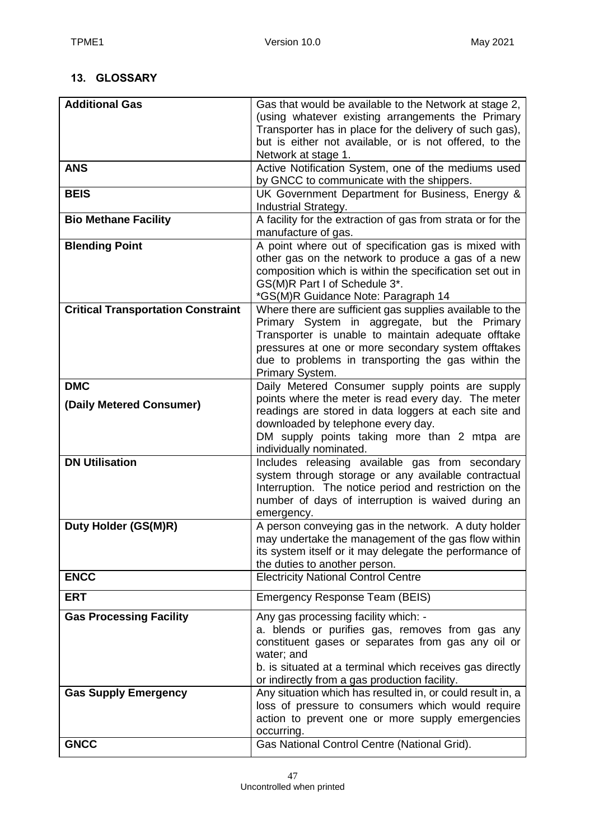## <span id="page-46-0"></span>**13. GLOSSARY**

| <b>Additional Gas</b>                     | Gas that would be available to the Network at stage 2,<br>(using whatever existing arrangements the Primary |
|-------------------------------------------|-------------------------------------------------------------------------------------------------------------|
|                                           | Transporter has in place for the delivery of such gas),                                                     |
|                                           | but is either not available, or is not offered, to the                                                      |
| <b>ANS</b>                                | Network at stage 1.<br>Active Notification System, one of the mediums used                                  |
|                                           | by GNCC to communicate with the shippers.                                                                   |
| <b>BEIS</b>                               | UK Government Department for Business, Energy &                                                             |
|                                           | Industrial Strategy.                                                                                        |
| <b>Bio Methane Facility</b>               | A facility for the extraction of gas from strata or for the                                                 |
|                                           | manufacture of gas.                                                                                         |
| <b>Blending Point</b>                     | A point where out of specification gas is mixed with<br>other gas on the network to produce a gas of a new  |
|                                           | composition which is within the specification set out in                                                    |
|                                           | GS(M)R Part I of Schedule 3*.                                                                               |
|                                           | *GS(M)R Guidance Note: Paragraph 14                                                                         |
| <b>Critical Transportation Constraint</b> | Where there are sufficient gas supplies available to the                                                    |
|                                           | Primary System in aggregate, but the Primary                                                                |
|                                           | Transporter is unable to maintain adequate offtake<br>pressures at one or more secondary system offtakes    |
|                                           | due to problems in transporting the gas within the                                                          |
|                                           | Primary System.                                                                                             |
| <b>DMC</b>                                | Daily Metered Consumer supply points are supply                                                             |
| (Daily Metered Consumer)                  | points where the meter is read every day. The meter                                                         |
|                                           | readings are stored in data loggers at each site and                                                        |
|                                           | downloaded by telephone every day.                                                                          |
|                                           | DM supply points taking more than 2 mtpa are<br>individually nominated.                                     |
| <b>DN Utilisation</b>                     | Includes releasing available gas from secondary                                                             |
|                                           | system through storage or any available contractual                                                         |
|                                           | Interruption. The notice period and restriction on the                                                      |
|                                           | number of days of interruption is waived during an                                                          |
| Duty Holder (GS(M)R)                      | emergency.<br>A person conveying gas in the network. A duty holder                                          |
|                                           | may undertake the management of the gas flow within                                                         |
|                                           | its system itself or it may delegate the performance of                                                     |
|                                           | the duties to another person.                                                                               |
| <b>ENCC</b>                               | <b>Electricity National Control Centre</b>                                                                  |
| <b>ERT</b>                                | Emergency Response Team (BEIS)                                                                              |
| <b>Gas Processing Facility</b>            | Any gas processing facility which: -                                                                        |
|                                           | a. blends or purifies gas, removes from gas any                                                             |
|                                           | constituent gases or separates from gas any oil or<br>water; and                                            |
|                                           | b. is situated at a terminal which receives gas directly                                                    |
|                                           | or indirectly from a gas production facility.                                                               |
| <b>Gas Supply Emergency</b>               | Any situation which has resulted in, or could result in, a                                                  |
|                                           | loss of pressure to consumers which would require                                                           |
|                                           | action to prevent one or more supply emergencies                                                            |
| <b>GNCC</b>                               | occurring.<br>Gas National Control Centre (National Grid).                                                  |
|                                           |                                                                                                             |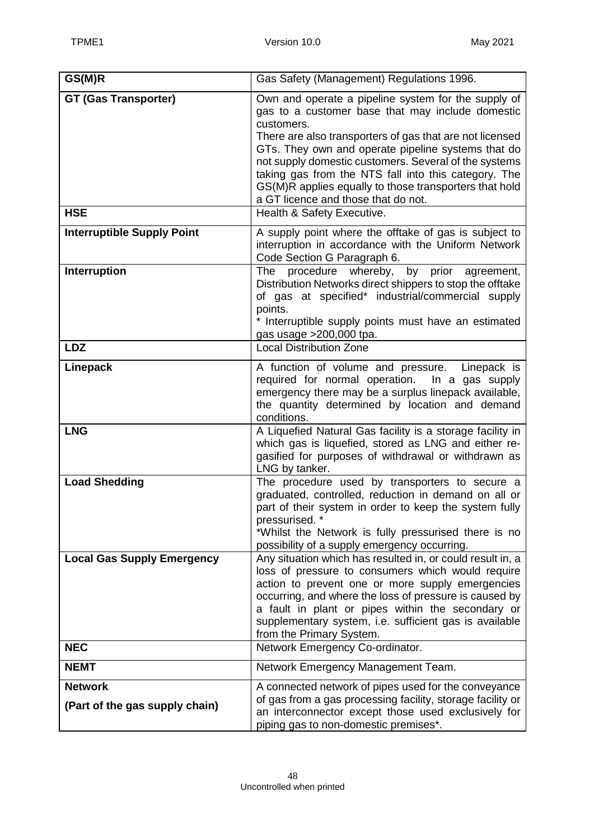| GS(M)R                                           | Gas Safety (Management) Regulations 1996.                                                                                                                                                                                                                                                                                                                                                                                                                 |
|--------------------------------------------------|-----------------------------------------------------------------------------------------------------------------------------------------------------------------------------------------------------------------------------------------------------------------------------------------------------------------------------------------------------------------------------------------------------------------------------------------------------------|
| <b>GT (Gas Transporter)</b>                      | Own and operate a pipeline system for the supply of<br>gas to a customer base that may include domestic<br>customers.<br>There are also transporters of gas that are not licensed<br>GTs. They own and operate pipeline systems that do<br>not supply domestic customers. Several of the systems<br>taking gas from the NTS fall into this category. The<br>GS(M)R applies equally to those transporters that hold<br>a GT licence and those that do not. |
| <b>HSE</b>                                       | Health & Safety Executive.                                                                                                                                                                                                                                                                                                                                                                                                                                |
| <b>Interruptible Supply Point</b>                | A supply point where the offtake of gas is subject to<br>interruption in accordance with the Uniform Network<br>Code Section G Paragraph 6.                                                                                                                                                                                                                                                                                                               |
| Interruption                                     | procedure whereby,<br>by prior<br>The<br>agreement,<br>Distribution Networks direct shippers to stop the offtake<br>of gas at specified* industrial/commercial supply<br>points.<br>* Interruptible supply points must have an estimated<br>gas usage > 200,000 tpa.                                                                                                                                                                                      |
| <b>LDZ</b>                                       | <b>Local Distribution Zone</b>                                                                                                                                                                                                                                                                                                                                                                                                                            |
| Linepack                                         | A function of volume and pressure.<br>Linepack is<br>required for normal operation.<br>In a gas supply<br>emergency there may be a surplus linepack available,<br>the quantity determined by location and demand<br>conditions.                                                                                                                                                                                                                           |
| <b>LNG</b>                                       | A Liquefied Natural Gas facility is a storage facility in<br>which gas is liquefied, stored as LNG and either re-<br>gasified for purposes of withdrawal or withdrawn as<br>LNG by tanker.                                                                                                                                                                                                                                                                |
| <b>Load Shedding</b>                             | The procedure used by transporters to secure a<br>graduated, controlled, reduction in demand on all or<br>part of their system in order to keep the system fully<br>pressurised. *<br>*Whilst the Network is fully pressurised there is no<br>possibility of a supply emergency occurring.                                                                                                                                                                |
| <b>Local Gas Supply Emergency</b>                | Any situation which has resulted in, or could result in, a<br>loss of pressure to consumers which would require<br>action to prevent one or more supply emergencies<br>occurring, and where the loss of pressure is caused by<br>a fault in plant or pipes within the secondary or<br>supplementary system, i.e. sufficient gas is available<br>from the Primary System.                                                                                  |
| <b>NEC</b>                                       | Network Emergency Co-ordinator.                                                                                                                                                                                                                                                                                                                                                                                                                           |
| <b>NEMT</b>                                      | Network Emergency Management Team.                                                                                                                                                                                                                                                                                                                                                                                                                        |
| <b>Network</b><br>(Part of the gas supply chain) | A connected network of pipes used for the conveyance<br>of gas from a gas processing facility, storage facility or<br>an interconnector except those used exclusively for<br>piping gas to non-domestic premises*.                                                                                                                                                                                                                                        |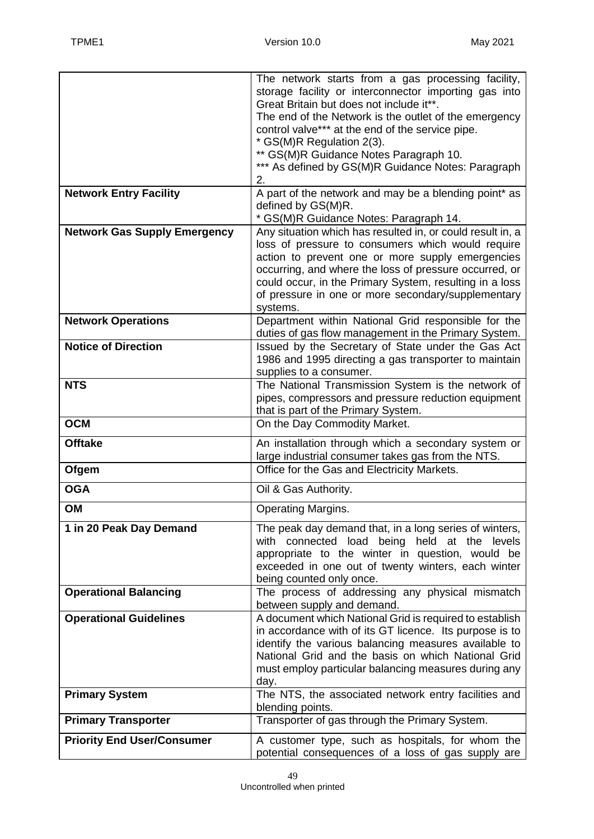|                                     | The network starts from a gas processing facility,                                                    |
|-------------------------------------|-------------------------------------------------------------------------------------------------------|
|                                     | storage facility or interconnector importing gas into                                                 |
|                                     | Great Britain but does not include it**.                                                              |
|                                     | The end of the Network is the outlet of the emergency                                                 |
|                                     | control valve*** at the end of the service pipe.                                                      |
|                                     | * GS(M)R Regulation 2(3).                                                                             |
|                                     | ** GS(M)R Guidance Notes Paragraph 10.                                                                |
|                                     | *** As defined by GS(M)R Guidance Notes: Paragraph                                                    |
|                                     | 2.                                                                                                    |
| <b>Network Entry Facility</b>       | A part of the network and may be a blending point* as                                                 |
|                                     | defined by GS(M)R.                                                                                    |
|                                     | * GS(M)R Guidance Notes: Paragraph 14.                                                                |
| <b>Network Gas Supply Emergency</b> | Any situation which has resulted in, or could result in, a                                            |
|                                     | loss of pressure to consumers which would require<br>action to prevent one or more supply emergencies |
|                                     | occurring, and where the loss of pressure occurred, or                                                |
|                                     | could occur, in the Primary System, resulting in a loss                                               |
|                                     | of pressure in one or more secondary/supplementary                                                    |
|                                     | systems.                                                                                              |
| <b>Network Operations</b>           | Department within National Grid responsible for the                                                   |
|                                     | duties of gas flow management in the Primary System.                                                  |
| <b>Notice of Direction</b>          | Issued by the Secretary of State under the Gas Act                                                    |
|                                     | 1986 and 1995 directing a gas transporter to maintain                                                 |
|                                     | supplies to a consumer.                                                                               |
| <b>NTS</b>                          | The National Transmission System is the network of                                                    |
|                                     | pipes, compressors and pressure reduction equipment                                                   |
|                                     | that is part of the Primary System.                                                                   |
| <b>OCM</b>                          | On the Day Commodity Market.                                                                          |
| <b>Offtake</b>                      | An installation through which a secondary system or                                                   |
|                                     | large industrial consumer takes gas from the NTS.                                                     |
| Ofgem                               | Office for the Gas and Electricity Markets.                                                           |
| <b>OGA</b>                          | Oil & Gas Authority.                                                                                  |
| OM                                  | <b>Operating Margins.</b>                                                                             |
| 1 in 20 Peak Day Demand             | The peak day demand that, in a long series of winters,                                                |
|                                     | with connected load being held at the levels                                                          |
|                                     | appropriate to the winter in question, would be                                                       |
|                                     | exceeded in one out of twenty winters, each winter                                                    |
|                                     | being counted only once.                                                                              |
| <b>Operational Balancing</b>        | The process of addressing any physical mismatch<br>between supply and demand.                         |
| <b>Operational Guidelines</b>       | A document which National Grid is required to establish                                               |
|                                     | in accordance with of its GT licence. Its purpose is to                                               |
|                                     | identify the various balancing measures available to                                                  |
|                                     | National Grid and the basis on which National Grid                                                    |
|                                     | must employ particular balancing measures during any                                                  |
|                                     | day.                                                                                                  |
| <b>Primary System</b>               | The NTS, the associated network entry facilities and                                                  |
|                                     | blending points.                                                                                      |
| <b>Primary Transporter</b>          | Transporter of gas through the Primary System.                                                        |
| <b>Priority End User/Consumer</b>   | A customer type, such as hospitals, for whom the                                                      |
|                                     | potential consequences of a loss of gas supply are                                                    |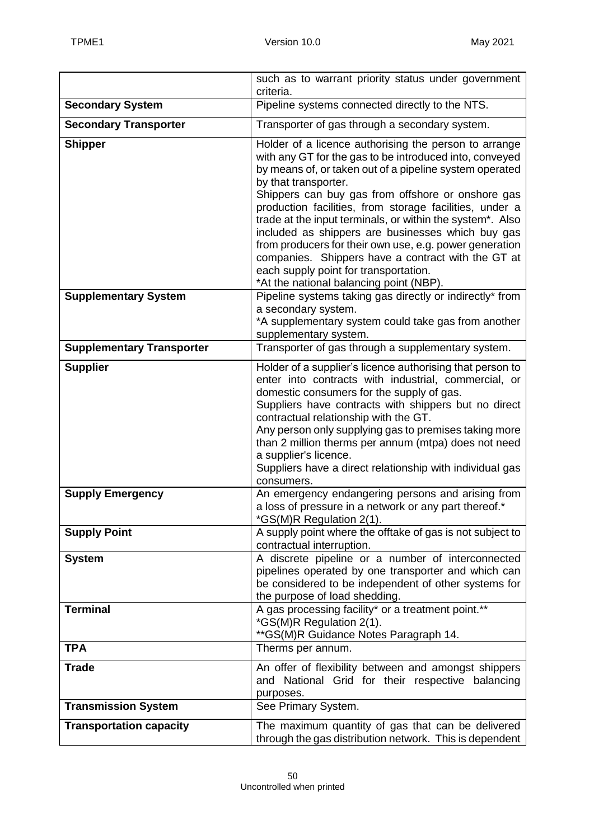|                                  | such as to warrant priority status under government<br>criteria.                                                                                                                                                                                                                                                                                                                                                                                                                                                                                                                                                                           |
|----------------------------------|--------------------------------------------------------------------------------------------------------------------------------------------------------------------------------------------------------------------------------------------------------------------------------------------------------------------------------------------------------------------------------------------------------------------------------------------------------------------------------------------------------------------------------------------------------------------------------------------------------------------------------------------|
| <b>Secondary System</b>          | Pipeline systems connected directly to the NTS.                                                                                                                                                                                                                                                                                                                                                                                                                                                                                                                                                                                            |
| <b>Secondary Transporter</b>     | Transporter of gas through a secondary system.                                                                                                                                                                                                                                                                                                                                                                                                                                                                                                                                                                                             |
| <b>Shipper</b>                   | Holder of a licence authorising the person to arrange<br>with any GT for the gas to be introduced into, conveyed<br>by means of, or taken out of a pipeline system operated<br>by that transporter.<br>Shippers can buy gas from offshore or onshore gas<br>production facilities, from storage facilities, under a<br>trade at the input terminals, or within the system*. Also<br>included as shippers are businesses which buy gas<br>from producers for their own use, e.g. power generation<br>companies. Shippers have a contract with the GT at<br>each supply point for transportation.<br>*At the national balancing point (NBP). |
| <b>Supplementary System</b>      | Pipeline systems taking gas directly or indirectly* from<br>a secondary system.<br>*A supplementary system could take gas from another<br>supplementary system.                                                                                                                                                                                                                                                                                                                                                                                                                                                                            |
| <b>Supplementary Transporter</b> | Transporter of gas through a supplementary system.                                                                                                                                                                                                                                                                                                                                                                                                                                                                                                                                                                                         |
| <b>Supplier</b>                  | Holder of a supplier's licence authorising that person to<br>enter into contracts with industrial, commercial, or<br>domestic consumers for the supply of gas.<br>Suppliers have contracts with shippers but no direct<br>contractual relationship with the GT.<br>Any person only supplying gas to premises taking more<br>than 2 million therms per annum (mtpa) does not need<br>a supplier's licence.<br>Suppliers have a direct relationship with individual gas<br>consumers.                                                                                                                                                        |
| <b>Supply Emergency</b>          | An emergency endangering persons and arising from<br>a loss of pressure in a network or any part thereof.*<br>*GS(M)R Regulation 2(1).                                                                                                                                                                                                                                                                                                                                                                                                                                                                                                     |
| <b>Supply Point</b>              | A supply point where the offtake of gas is not subject to<br>contractual interruption.                                                                                                                                                                                                                                                                                                                                                                                                                                                                                                                                                     |
| <b>System</b>                    | A discrete pipeline or a number of interconnected<br>pipelines operated by one transporter and which can<br>be considered to be independent of other systems for<br>the purpose of load shedding.                                                                                                                                                                                                                                                                                                                                                                                                                                          |
| <b>Terminal</b>                  | A gas processing facility* or a treatment point.**<br>*GS(M)R Regulation 2(1).<br>** GS(M)R Guidance Notes Paragraph 14.                                                                                                                                                                                                                                                                                                                                                                                                                                                                                                                   |
| <b>TPA</b>                       | Therms per annum.                                                                                                                                                                                                                                                                                                                                                                                                                                                                                                                                                                                                                          |
| <b>Trade</b>                     | An offer of flexibility between and amongst shippers<br>and National Grid for their respective balancing<br>purposes.                                                                                                                                                                                                                                                                                                                                                                                                                                                                                                                      |
| <b>Transmission System</b>       | See Primary System.                                                                                                                                                                                                                                                                                                                                                                                                                                                                                                                                                                                                                        |
| <b>Transportation capacity</b>   | The maximum quantity of gas that can be delivered<br>through the gas distribution network. This is dependent                                                                                                                                                                                                                                                                                                                                                                                                                                                                                                                               |